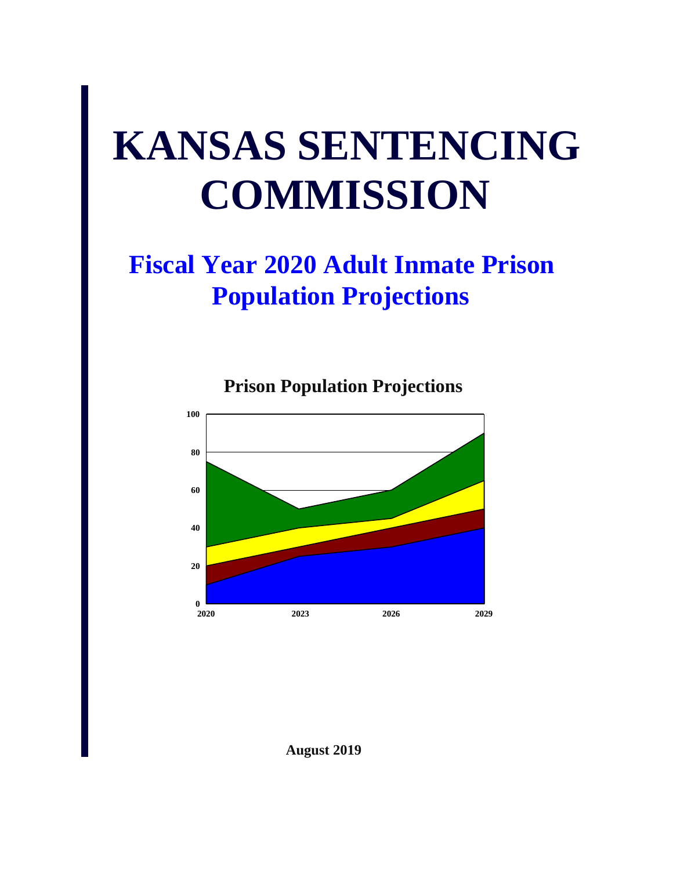# **KANSAS SENTENCING COMMISSION**

## **Fiscal Year 2020 Adult Inmate Prison Population Projections**





**August 2019**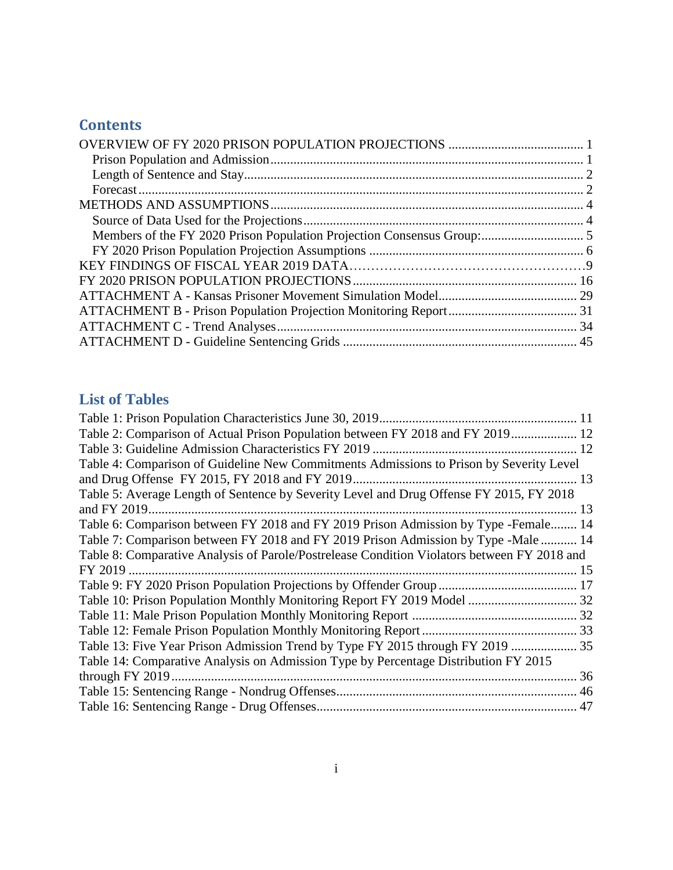## **Contents**

### **List of Tables**

| Table 2: Comparison of Actual Prison Population between FY 2018 and FY 2019 12              |  |
|---------------------------------------------------------------------------------------------|--|
|                                                                                             |  |
| Table 4: Comparison of Guideline New Commitments Admissions to Prison by Severity Level     |  |
|                                                                                             |  |
| Table 5: Average Length of Sentence by Severity Level and Drug Offense FY 2015, FY 2018     |  |
|                                                                                             |  |
| Table 6: Comparison between FY 2018 and FY 2019 Prison Admission by Type -Female 14         |  |
| Table 7: Comparison between FY 2018 and FY 2019 Prison Admission by Type -Male  14          |  |
| Table 8: Comparative Analysis of Parole/Postrelease Condition Violators between FY 2018 and |  |
|                                                                                             |  |
|                                                                                             |  |
|                                                                                             |  |
|                                                                                             |  |
|                                                                                             |  |
| Table 13: Five Year Prison Admission Trend by Type FY 2015 through FY 2019  35              |  |
| Table 14: Comparative Analysis on Admission Type by Percentage Distribution FY 2015         |  |
|                                                                                             |  |
|                                                                                             |  |
|                                                                                             |  |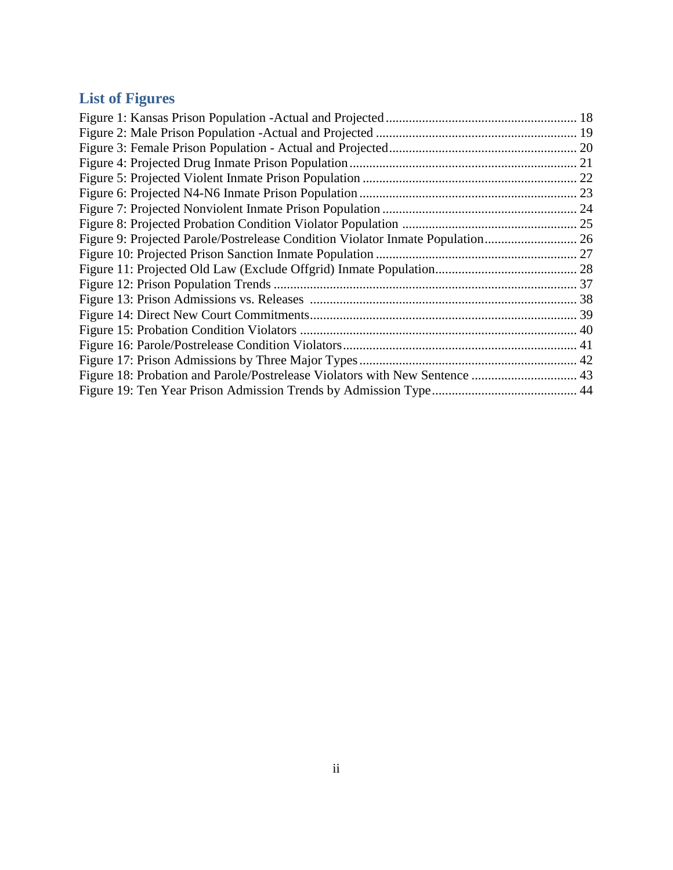## **List of Figures**

| Figure 9: Projected Parole/Postrelease Condition Violator Inmate Population |  |
|-----------------------------------------------------------------------------|--|
|                                                                             |  |
|                                                                             |  |
|                                                                             |  |
|                                                                             |  |
|                                                                             |  |
|                                                                             |  |
|                                                                             |  |
|                                                                             |  |
|                                                                             |  |
|                                                                             |  |
|                                                                             |  |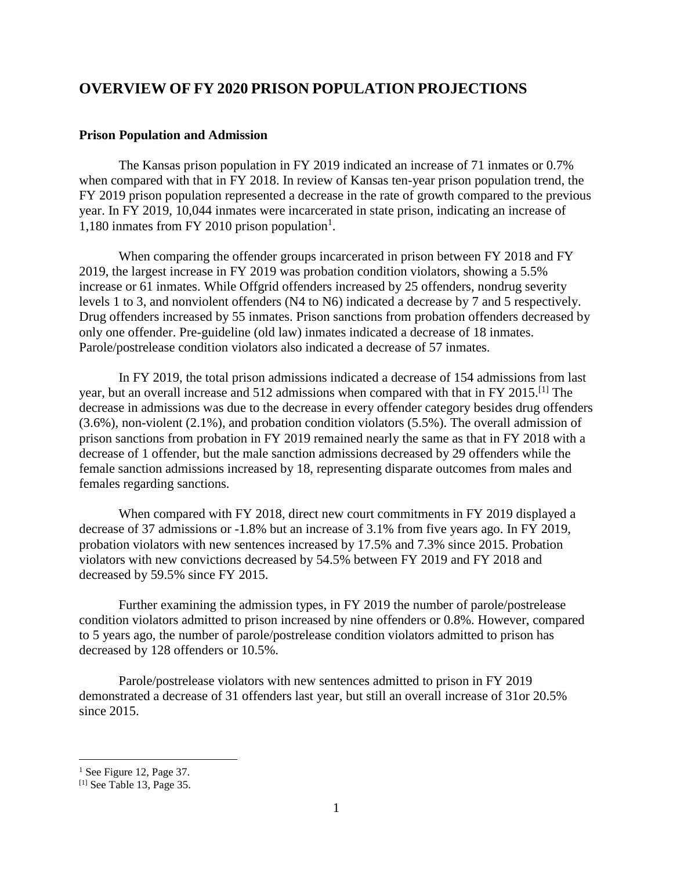#### <span id="page-4-0"></span>**OVERVIEW OF FY 2020 PRISON POPULATION PROJECTIONS**

#### <span id="page-4-1"></span>**Prison Population and Admission**

The Kansas prison population in FY 2019 indicated an increase of 71 inmates or 0.7% when compared with that in FY 2018. In review of Kansas ten-year prison population trend, the FY 2019 prison population represented a decrease in the rate of growth compared to the previous year. In FY 2019, 10,044 inmates were incarcerated in state prison, indicating an increase of 1,180 inmates from FY 2010 prison population<sup>1</sup>.

When comparing the offender groups incarcerated in prison between FY 2018 and FY 2019, the largest increase in FY 2019 was probation condition violators, showing a 5.5% increase or 61 inmates. While Offgrid offenders increased by 25 offenders, nondrug severity levels 1 to 3, and nonviolent offenders (N4 to N6) indicated a decrease by 7 and 5 respectively. Drug offenders increased by 55 inmates. Prison sanctions from probation offenders decreased by only one offender. Pre-guideline (old law) inmates indicated a decrease of 18 inmates. Parole/postrelease condition violators also indicated a decrease of 57 inmates.

In FY 2019, the total prison admissions indicated a decrease of 154 admissions from last year, but an overall increase and 512 admissions when compared with that in FY 2015.[1] The decrease in admissions was due to the decrease in every offender category besides drug offenders (3.6%), non-violent (2.1%), and probation condition violators (5.5%). The overall admission of prison sanctions from probation in FY 2019 remained nearly the same as that in FY 2018 with a decrease of 1 offender, but the male sanction admissions decreased by 29 offenders while the female sanction admissions increased by 18, representing disparate outcomes from males and females regarding sanctions.

When compared with FY 2018, direct new court commitments in FY 2019 displayed a decrease of 37 admissions or -1.8% but an increase of 3.1% from five years ago. In FY 2019, probation violators with new sentences increased by 17.5% and 7.3% since 2015. Probation violators with new convictions decreased by 54.5% between FY 2019 and FY 2018 and decreased by 59.5% since FY 2015.

Further examining the admission types, in FY 2019 the number of parole/postrelease condition violators admitted to prison increased by nine offenders or 0.8%. However, compared to 5 years ago, the number of parole/postrelease condition violators admitted to prison has decreased by 128 offenders or 10.5%.

Parole/postrelease violators with new sentences admitted to prison in FY 2019 demonstrated a decrease of 31 offenders last year, but still an overall increase of 31or 20.5% since 2015.

 $<sup>1</sup>$  See Figure 12, Page 37.</sup>

<sup>[1]</sup> See Table 13, Page 35.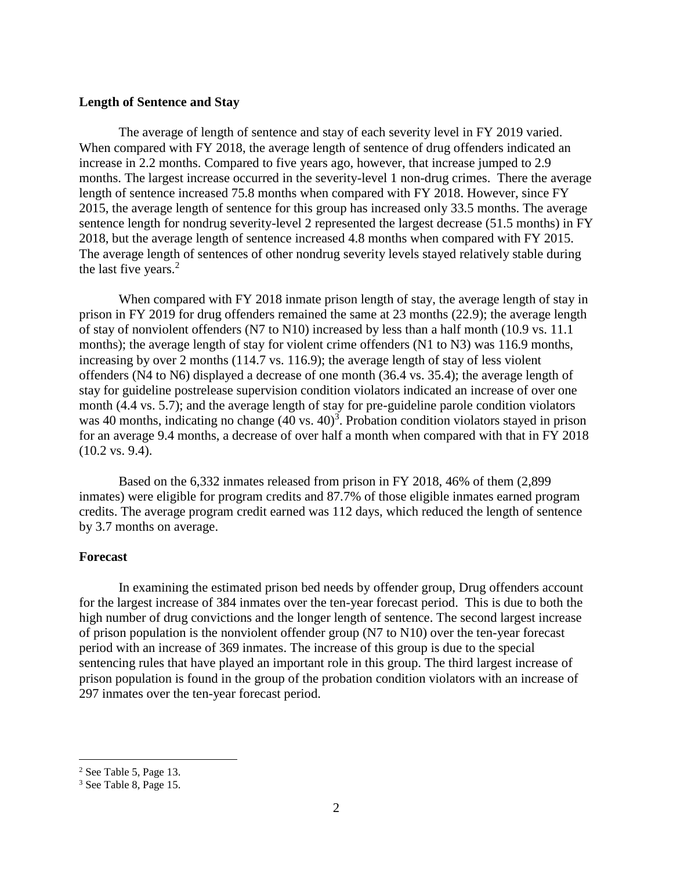#### <span id="page-5-0"></span>**Length of Sentence and Stay**

The average of length of sentence and stay of each severity level in FY 2019 varied. When compared with FY 2018, the average length of sentence of drug offenders indicated an increase in 2.2 months. Compared to five years ago, however, that increase jumped to 2.9 months. The largest increase occurred in the severity-level 1 non-drug crimes. There the average length of sentence increased 75.8 months when compared with FY 2018. However, since FY 2015, the average length of sentence for this group has increased only 33.5 months. The average sentence length for nondrug severity-level 2 represented the largest decrease (51.5 months) in FY 2018, but the average length of sentence increased 4.8 months when compared with FY 2015. The average length of sentences of other nondrug severity levels stayed relatively stable during the last five years.<sup>2</sup>

When compared with FY 2018 inmate prison length of stay, the average length of stay in prison in FY 2019 for drug offenders remained the same at 23 months (22.9); the average length of stay of nonviolent offenders (N7 to N10) increased by less than a half month (10.9 vs. 11.1 months); the average length of stay for violent crime offenders (N1 to N3) was 116.9 months, increasing by over 2 months (114.7 vs. 116.9); the average length of stay of less violent offenders (N4 to N6) displayed a decrease of one month (36.4 vs. 35.4); the average length of stay for guideline postrelease supervision condition violators indicated an increase of over one month (4.4 vs. 5.7); and the average length of stay for pre-guideline parole condition violators was 40 months, indicating no change (40 vs. 40)<sup>3</sup>. Probation condition violators stayed in prison for an average 9.4 months, a decrease of over half a month when compared with that in FY 2018 (10.2 vs. 9.4).

Based on the 6,332 inmates released from prison in FY 2018, 46% of them (2,899 inmates) were eligible for program credits and 87.7% of those eligible inmates earned program credits. The average program credit earned was 112 days, which reduced the length of sentence by 3.7 months on average.

#### <span id="page-5-1"></span>**Forecast**

In examining the estimated prison bed needs by offender group, Drug offenders account for the largest increase of 384 inmates over the ten-year forecast period. This is due to both the high number of drug convictions and the longer length of sentence. The second largest increase of prison population is the nonviolent offender group (N7 to N10) over the ten-year forecast period with an increase of 369 inmates. The increase of this group is due to the special sentencing rules that have played an important role in this group. The third largest increase of prison population is found in the group of the probation condition violators with an increase of 297 inmates over the ten-year forecast period.

<sup>2</sup> See Table 5, Page 13.

<sup>3</sup> See Table 8, Page 15.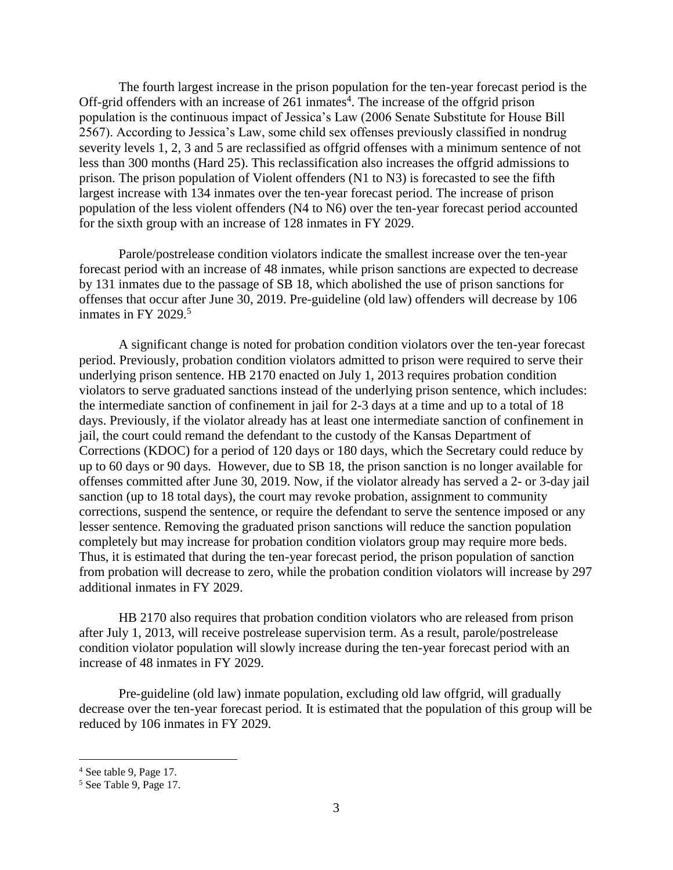The fourth largest increase in the prison population for the ten-year forecast period is the Off-grid offenders with an increase of  $261$  inmates<sup>4</sup>. The increase of the offgrid prison population is the continuous impact of Jessica's Law (2006 Senate Substitute for House Bill 2567). According to Jessica's Law, some child sex offenses previously classified in nondrug severity levels 1, 2, 3 and 5 are reclassified as offgrid offenses with a minimum sentence of not less than 300 months (Hard 25). This reclassification also increases the offgrid admissions to prison. The prison population of Violent offenders (N1 to N3) is forecasted to see the fifth largest increase with 134 inmates over the ten-year forecast period. The increase of prison population of the less violent offenders (N4 to N6) over the ten-year forecast period accounted for the sixth group with an increase of 128 inmates in FY 2029.

Parole/postrelease condition violators indicate the smallest increase over the ten-year forecast period with an increase of 48 inmates, while prison sanctions are expected to decrease by 131 inmates due to the passage of SB 18, which abolished the use of prison sanctions for offenses that occur after June 30, 2019. Pre-guideline (old law) offenders will decrease by 106 inmates in FY 2029. 5

A significant change is noted for probation condition violators over the ten-year forecast period. Previously, probation condition violators admitted to prison were required to serve their underlying prison sentence. HB 2170 enacted on July 1, 2013 requires probation condition violators to serve graduated sanctions instead of the underlying prison sentence, which includes: the intermediate sanction of confinement in jail for 2-3 days at a time and up to a total of 18 days. Previously, if the violator already has at least one intermediate sanction of confinement in jail, the court could remand the defendant to the custody of the Kansas Department of Corrections (KDOC) for a period of 120 days or 180 days, which the Secretary could reduce by up to 60 days or 90 days. However, due to SB 18, the prison sanction is no longer available for offenses committed after June 30, 2019. Now, if the violator already has served a 2- or 3-day jail sanction (up to 18 total days), the court may revoke probation, assignment to community corrections, suspend the sentence, or require the defendant to serve the sentence imposed or any lesser sentence. Removing the graduated prison sanctions will reduce the sanction population completely but may increase for probation condition violators group may require more beds. Thus, it is estimated that during the ten-year forecast period, the prison population of sanction from probation will decrease to zero, while the probation condition violators will increase by 297 additional inmates in FY 2029.

HB 2170 also requires that probation condition violators who are released from prison after July 1, 2013, will receive postrelease supervision term. As a result, parole/postrelease condition violator population will slowly increase during the ten-year forecast period with an increase of 48 inmates in FY 2029.

Pre-guideline (old law) inmate population, excluding old law offgrid, will gradually decrease over the ten-year forecast period. It is estimated that the population of this group will be reduced by 106 inmates in FY 2029.

<sup>4</sup> See table 9, Page 17.

<sup>5</sup> See Table 9, Page 17.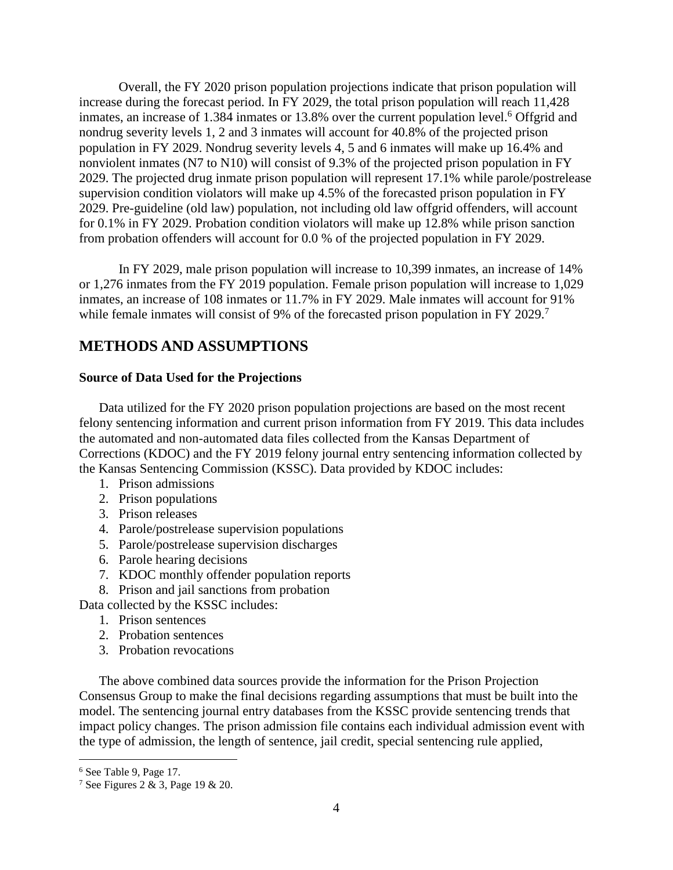Overall, the FY 2020 prison population projections indicate that prison population will increase during the forecast period. In FY 2029, the total prison population will reach 11,428 inmates, an increase of 1.384 inmates or 13.8% over the current population level. <sup>6</sup> Offgrid and nondrug severity levels 1, 2 and 3 inmates will account for 40.8% of the projected prison population in FY 2029. Nondrug severity levels 4, 5 and 6 inmates will make up 16.4% and nonviolent inmates (N7 to N10) will consist of 9.3% of the projected prison population in FY 2029. The projected drug inmate prison population will represent 17.1% while parole/postrelease supervision condition violators will make up 4.5% of the forecasted prison population in FY 2029. Pre-guideline (old law) population, not including old law offgrid offenders, will account for 0.1% in FY 2029. Probation condition violators will make up 12.8% while prison sanction from probation offenders will account for 0.0 % of the projected population in FY 2029.

In FY 2029, male prison population will increase to 10,399 inmates, an increase of 14% or 1,276 inmates from the FY 2019 population. Female prison population will increase to 1,029 inmates, an increase of 108 inmates or 11.7% in FY 2029. Male inmates will account for 91% while female inmates will consist of 9% of the forecasted prison population in FY 2029.<sup>7</sup>

#### <span id="page-7-0"></span>**METHODS AND ASSUMPTIONS**

#### <span id="page-7-1"></span>**Source of Data Used for the Projections**

Data utilized for the FY 2020 prison population projections are based on the most recent felony sentencing information and current prison information from FY 2019. This data includes the automated and non-automated data files collected from the Kansas Department of Corrections (KDOC) and the FY 2019 felony journal entry sentencing information collected by the Kansas Sentencing Commission (KSSC). Data provided by KDOC includes:

- 1. Prison admissions
- 2. Prison populations
- 3. Prison releases
- 4. Parole/postrelease supervision populations
- 5. Parole/postrelease supervision discharges
- 6. Parole hearing decisions
- 7. KDOC monthly offender population reports
- 8. Prison and jail sanctions from probation

Data collected by the KSSC includes:

- 1. Prison sentences
- 2. Probation sentences
- 3. Probation revocations

The above combined data sources provide the information for the Prison Projection Consensus Group to make the final decisions regarding assumptions that must be built into the model. The sentencing journal entry databases from the KSSC provide sentencing trends that impact policy changes. The prison admission file contains each individual admission event with the type of admission, the length of sentence, jail credit, special sentencing rule applied,

<sup>6</sup> See Table 9, Page 17.

<sup>7</sup> See Figures 2 & 3, Page 19 & 20.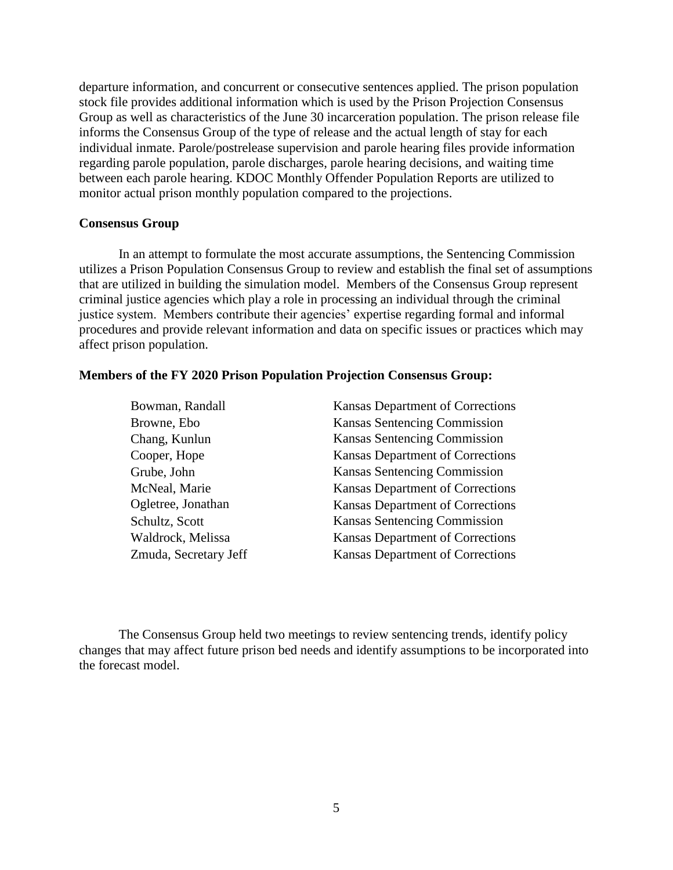departure information, and concurrent or consecutive sentences applied. The prison population stock file provides additional information which is used by the Prison Projection Consensus Group as well as characteristics of the June 30 incarceration population. The prison release file informs the Consensus Group of the type of release and the actual length of stay for each individual inmate. Parole/postrelease supervision and parole hearing files provide information regarding parole population, parole discharges, parole hearing decisions, and waiting time between each parole hearing. KDOC Monthly Offender Population Reports are utilized to monitor actual prison monthly population compared to the projections.

#### **Consensus Group**

In an attempt to formulate the most accurate assumptions, the Sentencing Commission utilizes a Prison Population Consensus Group to review and establish the final set of assumptions that are utilized in building the simulation model. Members of the Consensus Group represent criminal justice agencies which play a role in processing an individual through the criminal justice system. Members contribute their agencies' expertise regarding formal and informal procedures and provide relevant information and data on specific issues or practices which may affect prison population.

#### <span id="page-8-0"></span>**Members of the FY 2020 Prison Population Projection Consensus Group:**

| Bowman, Randall       | <b>Kansas Department of Corrections</b> |
|-----------------------|-----------------------------------------|
| Browne, Ebo           | Kansas Sentencing Commission            |
| Chang, Kunlun         | Kansas Sentencing Commission            |
| Cooper, Hope          | Kansas Department of Corrections        |
| Grube, John           | Kansas Sentencing Commission            |
| McNeal, Marie         | Kansas Department of Corrections        |
| Ogletree, Jonathan    | Kansas Department of Corrections        |
| Schultz, Scott        | Kansas Sentencing Commission            |
| Waldrock, Melissa     | Kansas Department of Corrections        |
| Zmuda, Secretary Jeff | Kansas Department of Corrections        |

The Consensus Group held two meetings to review sentencing trends, identify policy changes that may affect future prison bed needs and identify assumptions to be incorporated into the forecast model.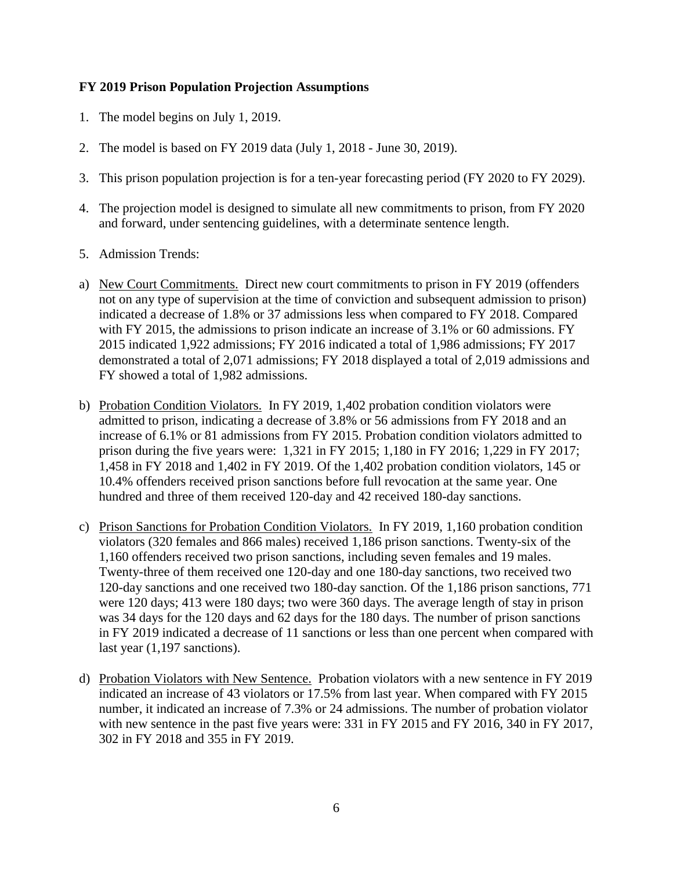#### <span id="page-9-0"></span>**FY 2019 Prison Population Projection Assumptions**

- 1. The model begins on July 1, 2019.
- 2. The model is based on FY 2019 data (July 1, 2018 June 30, 2019).
- 3. This prison population projection is for a ten-year forecasting period (FY 2020 to FY 2029).
- 4. The projection model is designed to simulate all new commitments to prison, from FY 2020 and forward, under sentencing guidelines, with a determinate sentence length.
- 5. Admission Trends:
- a) New Court Commitments. Direct new court commitments to prison in FY 2019 (offenders not on any type of supervision at the time of conviction and subsequent admission to prison) indicated a decrease of 1.8% or 37 admissions less when compared to FY 2018. Compared with FY 2015, the admissions to prison indicate an increase of 3.1% or 60 admissions. FY 2015 indicated 1,922 admissions; FY 2016 indicated a total of 1,986 admissions; FY 2017 demonstrated a total of 2,071 admissions; FY 2018 displayed a total of 2,019 admissions and FY showed a total of 1,982 admissions.
- b) Probation Condition Violators. In FY 2019, 1,402 probation condition violators were admitted to prison, indicating a decrease of 3.8% or 56 admissions from FY 2018 and an increase of 6.1% or 81 admissions from FY 2015. Probation condition violators admitted to prison during the five years were: 1,321 in FY 2015; 1,180 in FY 2016; 1,229 in FY 2017; 1,458 in FY 2018 and 1,402 in FY 2019. Of the 1,402 probation condition violators, 145 or 10.4% offenders received prison sanctions before full revocation at the same year. One hundred and three of them received 120-day and 42 received 180-day sanctions.
- c) Prison Sanctions for Probation Condition Violators. In FY 2019, 1,160 probation condition violators (320 females and 866 males) received 1,186 prison sanctions. Twenty-six of the 1,160 offenders received two prison sanctions, including seven females and 19 males. Twenty-three of them received one 120-day and one 180-day sanctions, two received two 120-day sanctions and one received two 180-day sanction. Of the 1,186 prison sanctions, 771 were 120 days; 413 were 180 days; two were 360 days. The average length of stay in prison was 34 days for the 120 days and 62 days for the 180 days. The number of prison sanctions in FY 2019 indicated a decrease of 11 sanctions or less than one percent when compared with last year  $(1,197$  sanctions).
- d) Probation Violators with New Sentence. Probation violators with a new sentence in FY 2019 indicated an increase of 43 violators or 17.5% from last year. When compared with FY 2015 number, it indicated an increase of 7.3% or 24 admissions. The number of probation violator with new sentence in the past five years were: 331 in FY 2015 and FY 2016, 340 in FY 2017, 302 in FY 2018 and 355 in FY 2019.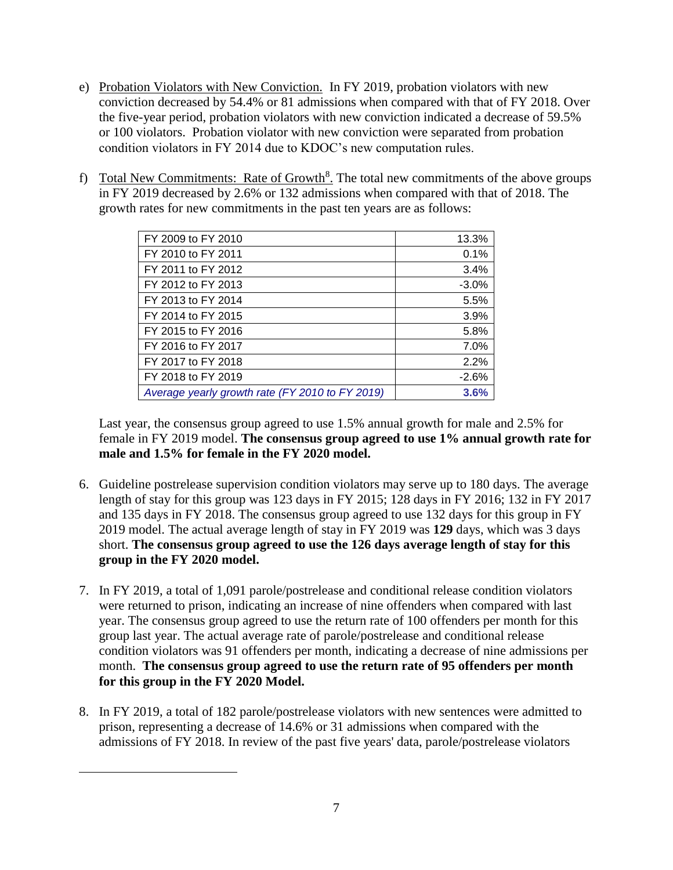- e) Probation Violators with New Conviction. In FY 2019, probation violators with new conviction decreased by 54.4% or 81 admissions when compared with that of FY 2018. Over the five-year period, probation violators with new conviction indicated a decrease of 59.5% or 100 violators. Probation violator with new conviction were separated from probation condition violators in FY 2014 due to KDOC's new computation rules.
- f) Total New Commitments: Rate of Growth<sup>8</sup>. The total new commitments of the above groups in FY 2019 decreased by 2.6% or 132 admissions when compared with that of 2018. The growth rates for new commitments in the past ten years are as follows:

| FY 2009 to FY 2010                              | 13.3%   |
|-------------------------------------------------|---------|
| FY 2010 to FY 2011                              | 0.1%    |
| FY 2011 to FY 2012                              | 3.4%    |
| FY 2012 to FY 2013                              | $-3.0%$ |
| FY 2013 to FY 2014                              | 5.5%    |
| FY 2014 to FY 2015                              | 3.9%    |
| FY 2015 to FY 2016                              | 5.8%    |
| FY 2016 to FY 2017                              | 7.0%    |
| FY 2017 to FY 2018                              | 2.2%    |
| FY 2018 to FY 2019                              | $-2.6%$ |
| Average yearly growth rate (FY 2010 to FY 2019) | 3.6%    |

Last year, the consensus group agreed to use 1.5% annual growth for male and 2.5% for female in FY 2019 model. **The consensus group agreed to use 1% annual growth rate for male and 1.5% for female in the FY 2020 model.** 

- 6. Guideline postrelease supervision condition violators may serve up to 180 days. The average length of stay for this group was 123 days in FY 2015; 128 days in FY 2016; 132 in FY 2017 and 135 days in FY 2018. The consensus group agreed to use 132 days for this group in FY 2019 model. The actual average length of stay in FY 2019 was **129** days, which was 3 days short. **The consensus group agreed to use the 126 days average length of stay for this group in the FY 2020 model.**
- 7. In FY 2019, a total of 1,091 parole/postrelease and conditional release condition violators were returned to prison, indicating an increase of nine offenders when compared with last year. The consensus group agreed to use the return rate of 100 offenders per month for this group last year. The actual average rate of parole/postrelease and conditional release condition violators was 91 offenders per month, indicating a decrease of nine admissions per month. **The consensus group agreed to use the return rate of 95 offenders per month for this group in the FY 2020 Model.**
- 8. In FY 2019, a total of 182 parole/postrelease violators with new sentences were admitted to prison, representing a decrease of 14.6% or 31 admissions when compared with the admissions of FY 2018. In review of the past five years' data, parole/postrelease violators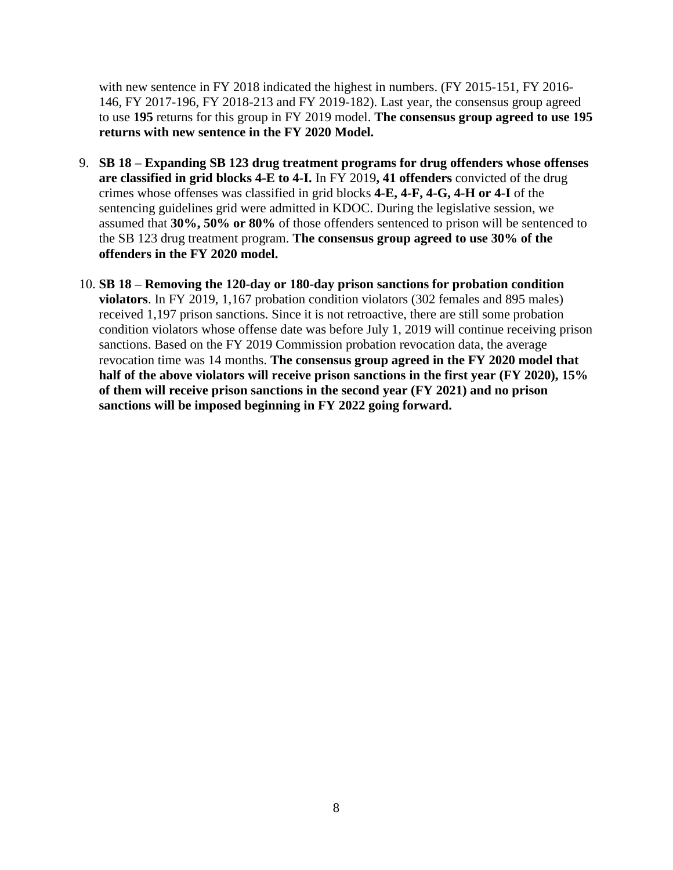with new sentence in FY 2018 indicated the highest in numbers. (FY 2015-151, FY 2016-146, FY 2017-196, FY 2018-213 and FY 2019-182). Last year, the consensus group agreed to use **195** returns for this group in FY 2019 model. **The consensus group agreed to use 195 returns with new sentence in the FY 2020 Model.**

- 9. **SB 18 – Expanding SB 123 drug treatment programs for drug offenders whose offenses are classified in grid blocks 4-E to 4-I.** In FY 2019**, 41 offenders** convicted of the drug crimes whose offenses was classified in grid blocks **4-E, 4-F, 4-G, 4-H or 4-I** of the sentencing guidelines grid were admitted in KDOC. During the legislative session, we assumed that **30%, 50% or 80%** of those offenders sentenced to prison will be sentenced to the SB 123 drug treatment program. **The consensus group agreed to use 30% of the offenders in the FY 2020 model.**
- 10. **SB 18 – Removing the 120-day or 180-day prison sanctions for probation condition violators**. In FY 2019, 1,167 probation condition violators (302 females and 895 males) received 1,197 prison sanctions. Since it is not retroactive, there are still some probation condition violators whose offense date was before July 1, 2019 will continue receiving prison sanctions. Based on the FY 2019 Commission probation revocation data, the average revocation time was 14 months. **The consensus group agreed in the FY 2020 model that half of the above violators will receive prison sanctions in the first year (FY 2020), 15% of them will receive prison sanctions in the second year (FY 2021) and no prison sanctions will be imposed beginning in FY 2022 going forward.**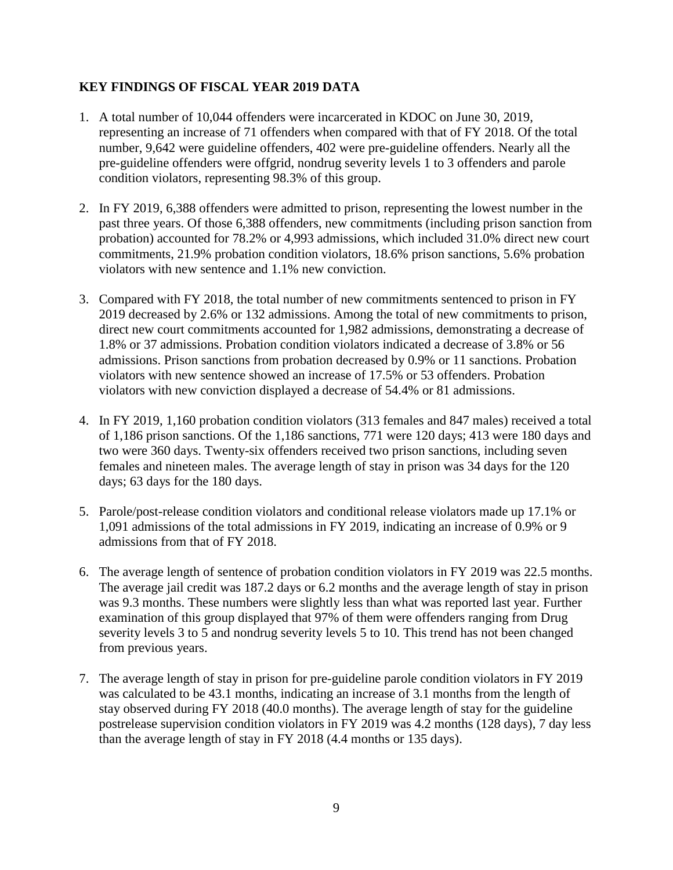#### **KEY FINDINGS OF FISCAL YEAR 2019 DATA**

- 1. A total number of 10,044 offenders were incarcerated in KDOC on June 30, 2019, representing an increase of 71 offenders when compared with that of FY 2018. Of the total number, 9,642 were guideline offenders, 402 were pre-guideline offenders. Nearly all the pre-guideline offenders were offgrid, nondrug severity levels 1 to 3 offenders and parole condition violators, representing 98.3% of this group.
- 2. In FY 2019, 6,388 offenders were admitted to prison, representing the lowest number in the past three years. Of those 6,388 offenders, new commitments (including prison sanction from probation) accounted for 78.2% or 4,993 admissions, which included 31.0% direct new court commitments, 21.9% probation condition violators, 18.6% prison sanctions, 5.6% probation violators with new sentence and 1.1% new conviction.
- 3. Compared with FY 2018, the total number of new commitments sentenced to prison in FY 2019 decreased by 2.6% or 132 admissions. Among the total of new commitments to prison, direct new court commitments accounted for 1,982 admissions, demonstrating a decrease of 1.8% or 37 admissions. Probation condition violators indicated a decrease of 3.8% or 56 admissions. Prison sanctions from probation decreased by 0.9% or 11 sanctions. Probation violators with new sentence showed an increase of 17.5% or 53 offenders. Probation violators with new conviction displayed a decrease of 54.4% or 81 admissions.
- 4. In FY 2019, 1,160 probation condition violators (313 females and 847 males) received a total of 1,186 prison sanctions. Of the 1,186 sanctions, 771 were 120 days; 413 were 180 days and two were 360 days. Twenty-six offenders received two prison sanctions, including seven females and nineteen males. The average length of stay in prison was 34 days for the 120 days; 63 days for the 180 days.
- 5. Parole/post-release condition violators and conditional release violators made up 17.1% or 1,091 admissions of the total admissions in FY 2019, indicating an increase of 0.9% or 9 admissions from that of FY 2018.
- 6. The average length of sentence of probation condition violators in FY 2019 was 22.5 months. The average jail credit was 187.2 days or 6.2 months and the average length of stay in prison was 9.3 months. These numbers were slightly less than what was reported last year. Further examination of this group displayed that 97% of them were offenders ranging from Drug severity levels 3 to 5 and nondrug severity levels 5 to 10. This trend has not been changed from previous years.
- 7. The average length of stay in prison for pre-guideline parole condition violators in FY 2019 was calculated to be 43.1 months, indicating an increase of 3.1 months from the length of stay observed during FY 2018 (40.0 months). The average length of stay for the guideline postrelease supervision condition violators in FY 2019 was 4.2 months (128 days), 7 day less than the average length of stay in FY 2018 (4.4 months or 135 days).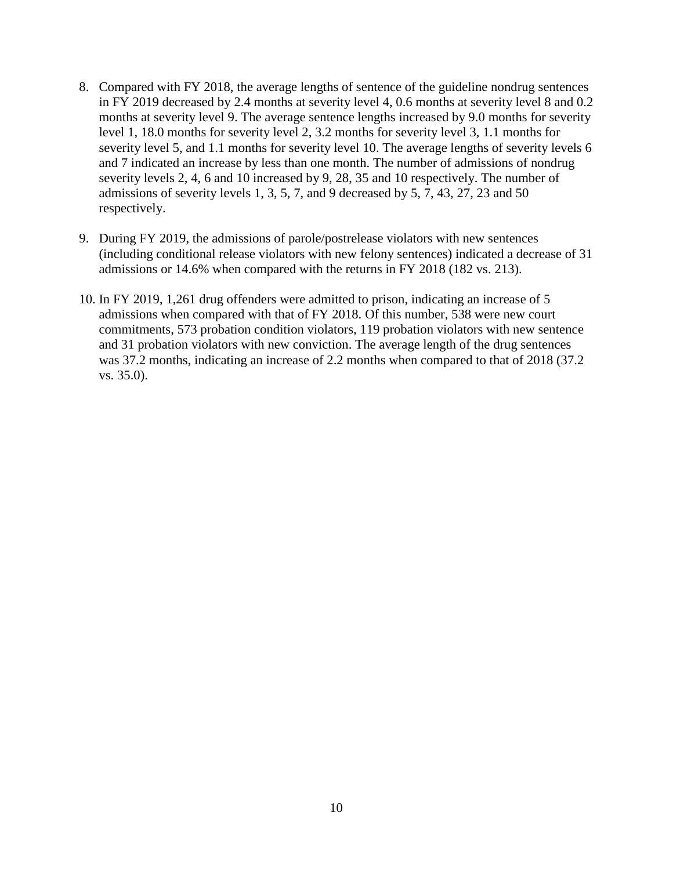- 8. Compared with FY 2018, the average lengths of sentence of the guideline nondrug sentences in FY 2019 decreased by 2.4 months at severity level 4, 0.6 months at severity level 8 and 0.2 months at severity level 9. The average sentence lengths increased by 9.0 months for severity level 1, 18.0 months for severity level 2, 3.2 months for severity level 3, 1.1 months for severity level 5, and 1.1 months for severity level 10. The average lengths of severity levels 6 and 7 indicated an increase by less than one month. The number of admissions of nondrug severity levels 2, 4, 6 and 10 increased by 9, 28, 35 and 10 respectively. The number of admissions of severity levels 1, 3, 5, 7, and 9 decreased by 5, 7, 43, 27, 23 and 50 respectively.
- 9. During FY 2019, the admissions of parole/postrelease violators with new sentences (including conditional release violators with new felony sentences) indicated a decrease of 31 admissions or 14.6% when compared with the returns in FY 2018 (182 vs. 213).
- 10. In FY 2019, 1,261 drug offenders were admitted to prison, indicating an increase of 5 admissions when compared with that of FY 2018. Of this number, 538 were new court commitments, 573 probation condition violators, 119 probation violators with new sentence and 31 probation violators with new conviction. The average length of the drug sentences was 37.2 months, indicating an increase of 2.2 months when compared to that of 2018 (37.2) vs. 35.0).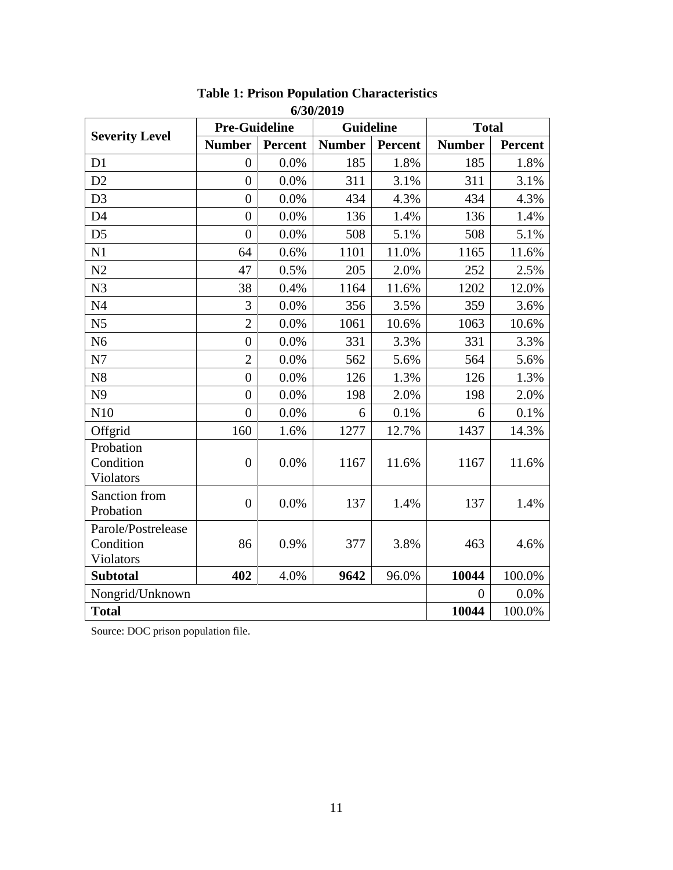|                                              | <b>Pre-Guideline</b> |                | Guideline     |         | <b>Total</b>   |                |
|----------------------------------------------|----------------------|----------------|---------------|---------|----------------|----------------|
| <b>Severity Level</b>                        | <b>Number</b>        | <b>Percent</b> | <b>Number</b> | Percent | <b>Number</b>  | <b>Percent</b> |
| D1                                           | $\overline{0}$       | 0.0%           | 185           | 1.8%    | 185            | 1.8%           |
| D2                                           | $\overline{0}$       | 0.0%           | 311           | 3.1%    | 311            | 3.1%           |
| D <sub>3</sub>                               | $\overline{0}$       | 0.0%           | 434           | 4.3%    | 434            | 4.3%           |
| D <sub>4</sub>                               | $\overline{0}$       | 0.0%           | 136           | 1.4%    | 136            | 1.4%           |
| D <sub>5</sub>                               | $\overline{0}$       | 0.0%           | 508           | 5.1%    | 508            | 5.1%           |
| N1                                           | 64                   | 0.6%           | 1101          | 11.0%   | 1165           | 11.6%          |
| N2                                           | 47                   | 0.5%           | 205           | 2.0%    | 252            | 2.5%           |
| N <sub>3</sub>                               | 38                   | 0.4%           | 1164          | 11.6%   | 1202           | 12.0%          |
| N <sub>4</sub>                               | 3                    | 0.0%           | 356           | 3.5%    | 359            | 3.6%           |
| N <sub>5</sub>                               | $\overline{2}$       | 0.0%           | 1061          | 10.6%   | 1063           | 10.6%          |
| N <sub>6</sub>                               | $\overline{0}$       | 0.0%           | 331           | 3.3%    | 331            | 3.3%           |
| N7                                           | $\overline{2}$       | 0.0%           | 562           | 5.6%    | 564            | 5.6%           |
| N <sub>8</sub>                               | $\overline{0}$       | 0.0%           | 126           | 1.3%    | 126            | 1.3%           |
| N <sub>9</sub>                               | $\overline{0}$       | 0.0%           | 198           | 2.0%    | 198            | 2.0%           |
| N10                                          | $\overline{0}$       | 0.0%           | 6             | 0.1%    | 6              | 0.1%           |
| Offgrid                                      | 160                  | 1.6%           | 1277          | 12.7%   | 1437           | 14.3%          |
| Probation<br>Condition<br>Violators          | $\overline{0}$       | 0.0%           | 1167          | 11.6%   | 1167           | 11.6%          |
| Sanction from<br>Probation                   | $\overline{0}$       | 0.0%           | 137           | 1.4%    | 137            | 1.4%           |
| Parole/Postrelease<br>Condition<br>Violators | 86                   | 0.9%           | 377           | 3.8%    | 463            | 4.6%           |
| <b>Subtotal</b>                              | 402                  | 4.0%           | 9642          | 96.0%   | 10044          | 100.0%         |
| Nongrid/Unknown                              |                      |                |               |         | $\overline{0}$ | 0.0%           |
| <b>Total</b>                                 |                      |                |               |         | 10044          | 100.0%         |

#### **Table 1: Prison Population Characteristics 6/30/2019**

Source: DOC prison population file.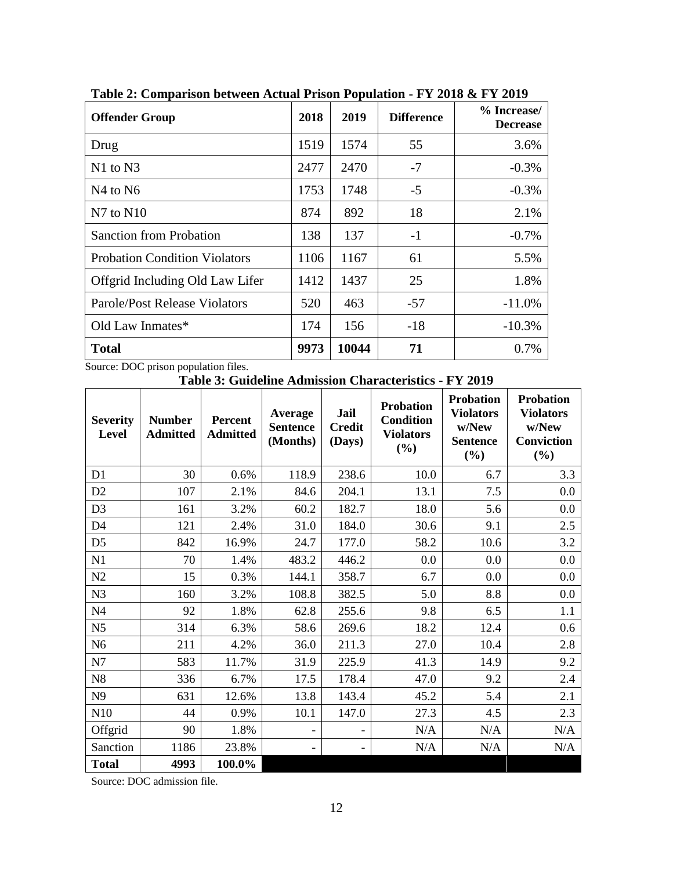| <b>Offender Group</b>                | 2018 | 2019  | <b>Difference</b> | % Increase/<br><b>Decrease</b> |
|--------------------------------------|------|-------|-------------------|--------------------------------|
| Drug                                 | 1519 | 1574  | 55                | 3.6%                           |
| $N1$ to $N3$                         | 2477 | 2470  | $-7$              | $-0.3%$                        |
| N <sub>4</sub> to N <sub>6</sub>     | 1753 | 1748  | $-5$              | $-0.3%$                        |
| $N7$ to $N10$                        | 874  | 892   | 18                | 2.1%                           |
| <b>Sanction from Probation</b>       | 138  | 137   | $-1$              | $-0.7%$                        |
| <b>Probation Condition Violators</b> | 1106 | 1167  | 61                | 5.5%                           |
| Offgrid Including Old Law Lifer      | 1412 | 1437  | 25                | 1.8%                           |
| <b>Parole/Post Release Violators</b> | 520  | 463   | -57               | $-11.0%$                       |
| Old Law Inmates*                     | 174  | 156   | $-18$             | $-10.3%$                       |
| <b>Total</b>                         | 9973 | 10044 | 71                | 0.7%                           |

**Table 2: Comparison between Actual Prison Population - FY 2018 & FY 2019**

Source: DOC prison population files.

**Table 3: Guideline Admission Characteristics - FY 2019**

| <b>Severity</b><br><b>Level</b> | <b>Number</b><br><b>Admitted</b> | Percent<br><b>Admitted</b> | Average<br><b>Sentence</b><br>(Months) | <b>Jail</b><br><b>Credit</b><br>(Days) | <b>Probation</b><br><b>Condition</b><br><b>Violators</b><br>(%) | <b>Probation</b><br><b>Violators</b><br>w/New<br><b>Sentence</b><br>(%) | <b>Probation</b><br><b>Violators</b><br>w/New<br>Conviction<br>(%) |
|---------------------------------|----------------------------------|----------------------------|----------------------------------------|----------------------------------------|-----------------------------------------------------------------|-------------------------------------------------------------------------|--------------------------------------------------------------------|
| D <sub>1</sub>                  | 30                               | 0.6%                       | 118.9                                  | 238.6                                  | 10.0                                                            | 6.7                                                                     | 3.3                                                                |
| D2                              | 107                              | 2.1%                       | 84.6                                   | 204.1                                  | 13.1                                                            | 7.5                                                                     | 0.0                                                                |
| D <sub>3</sub>                  | 161                              | 3.2%                       | 60.2                                   | 182.7                                  | 18.0                                                            | 5.6                                                                     | 0.0                                                                |
| D <sub>4</sub>                  | 121                              | 2.4%                       | 31.0                                   | 184.0                                  | 30.6                                                            | 9.1                                                                     | 2.5                                                                |
| D <sub>5</sub>                  | 842                              | 16.9%                      | 24.7                                   | 177.0                                  | 58.2                                                            | 10.6                                                                    | 3.2                                                                |
| N1                              | 70                               | 1.4%                       | 483.2                                  | 446.2                                  | 0.0                                                             | 0.0                                                                     | 0.0                                                                |
| N2                              | 15                               | 0.3%                       | 144.1                                  | 358.7                                  | 6.7                                                             | 0.0                                                                     | 0.0                                                                |
| N3                              | 160                              | 3.2%                       | 108.8                                  | 382.5                                  | 5.0                                                             | 8.8                                                                     | 0.0                                                                |
| N <sub>4</sub>                  | 92                               | 1.8%                       | 62.8                                   | 255.6                                  | 9.8                                                             | 6.5                                                                     | 1.1                                                                |
| N <sub>5</sub>                  | 314                              | 6.3%                       | 58.6                                   | 269.6                                  | 18.2                                                            | 12.4                                                                    | 0.6                                                                |
| N <sub>6</sub>                  | 211                              | 4.2%                       | 36.0                                   | 211.3                                  | 27.0                                                            | 10.4                                                                    | 2.8                                                                |
| N7                              | 583                              | 11.7%                      | 31.9                                   | 225.9                                  | 41.3                                                            | 14.9                                                                    | 9.2                                                                |
| N8                              | 336                              | 6.7%                       | 17.5                                   | 178.4                                  | 47.0                                                            | 9.2                                                                     | 2.4                                                                |
| N9                              | 631                              | 12.6%                      | 13.8                                   | 143.4                                  | 45.2                                                            | 5.4                                                                     | 2.1                                                                |
| N10                             | 44                               | 0.9%                       | 10.1                                   | 147.0                                  | 27.3                                                            | 4.5                                                                     | 2.3                                                                |
| Offgrid                         | 90                               | 1.8%                       | $\qquad \qquad -$                      |                                        | N/A                                                             | N/A                                                                     | N/A                                                                |
| Sanction                        | 1186                             | 23.8%                      | -                                      |                                        | N/A                                                             | N/A                                                                     | N/A                                                                |
| <b>Total</b>                    | 4993                             | 100.0%                     |                                        |                                        |                                                                 |                                                                         |                                                                    |

Source: DOC admission file.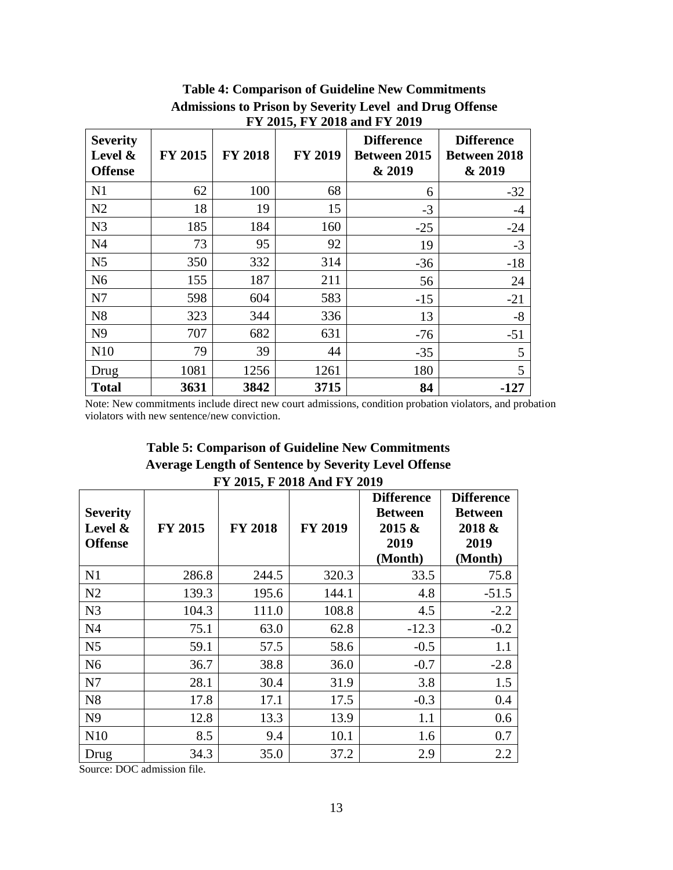| F I 2015, F I 2016 and F I 2019                 |                |                |                |                                                    |                                                    |  |
|-------------------------------------------------|----------------|----------------|----------------|----------------------------------------------------|----------------------------------------------------|--|
| <b>Severity</b><br>Level $\&$<br><b>Offense</b> | <b>FY 2015</b> | <b>FY 2018</b> | <b>FY 2019</b> | <b>Difference</b><br><b>Between 2015</b><br>& 2019 | <b>Difference</b><br><b>Between 2018</b><br>& 2019 |  |
| N1                                              | 62             | 100            | 68             | 6                                                  | $-32$                                              |  |
| N2                                              | 18             | 19             | 15             | $-3$                                               | $-4$                                               |  |
| N <sub>3</sub>                                  | 185            | 184            | 160            | $-25$                                              | $-24$                                              |  |
| N <sub>4</sub>                                  | 73             | 95             | 92             | 19                                                 | $-3$                                               |  |
| N <sub>5</sub>                                  | 350            | 332            | 314            | $-36$                                              | $-18$                                              |  |
| N <sub>6</sub>                                  | 155            | 187            | 211            | 56                                                 | 24                                                 |  |
| N7                                              | 598            | 604            | 583            | $-15$                                              | $-21$                                              |  |
| N8                                              | 323            | 344            | 336            | 13                                                 | $-8$                                               |  |
| N <sub>9</sub>                                  | 707            | 682            | 631            | $-76$                                              | $-51$                                              |  |
| N <sub>10</sub>                                 | 79             | 39             | 44             | $-35$                                              | 5                                                  |  |
| Drug                                            | 1081           | 1256           | 1261           | 180                                                | 5                                                  |  |
| <b>Total</b>                                    | 3631           | 3842           | 3715           | 84                                                 | $-127$                                             |  |

**Table 4: Comparison of Guideline New Commitments Admissions to Prison by Severity Level and Drug Offense FY 2015, FY 2018 and FY 2019**

Note: New commitments include direct new court admissions, condition probation violators, and probation violators with new sentence/new conviction.

**Table 5: Comparison of Guideline New Commitments Average Length of Sentence by Severity Level Offense FY 2015, F 2018 And FY 2019**

| <b>Severity</b><br>Level &<br><b>Offense</b> | <b>FY 2015</b> | <b>FY 2018</b> | <b>FY 2019</b> | <b>Difference</b><br><b>Between</b><br>2015 &<br>2019<br>(Month) | <b>Difference</b><br><b>Between</b><br>2018 &<br>2019<br>(Month) |
|----------------------------------------------|----------------|----------------|----------------|------------------------------------------------------------------|------------------------------------------------------------------|
| N1                                           | 286.8          | 244.5          | 320.3          | 33.5                                                             | 75.8                                                             |
| N2                                           | 139.3          | 195.6          | 144.1          | 4.8                                                              | $-51.5$                                                          |
| N <sub>3</sub>                               | 104.3          | 111.0          | 108.8          | 4.5                                                              | $-2.2$                                                           |
| N <sub>4</sub>                               | 75.1           | 63.0           | 62.8           | $-12.3$                                                          | $-0.2$                                                           |
| N <sub>5</sub>                               | 59.1           | 57.5           | 58.6           | $-0.5$                                                           | 1.1                                                              |
| N <sub>6</sub>                               | 36.7           | 38.8           | 36.0           | $-0.7$                                                           | $-2.8$                                                           |
| N7                                           | 28.1           | 30.4           | 31.9           | 3.8                                                              | 1.5                                                              |
| N8                                           | 17.8           | 17.1           | 17.5           | $-0.3$                                                           | 0.4                                                              |
| N <sub>9</sub>                               | 12.8           | 13.3           | 13.9           | 1.1                                                              | 0.6                                                              |
| N <sub>10</sub>                              | 8.5            | 9.4            | 10.1           | 1.6                                                              | 0.7                                                              |
| Drug                                         | 34.3           | 35.0           | 37.2           | 2.9                                                              | 2.2                                                              |

Source: DOC admission file.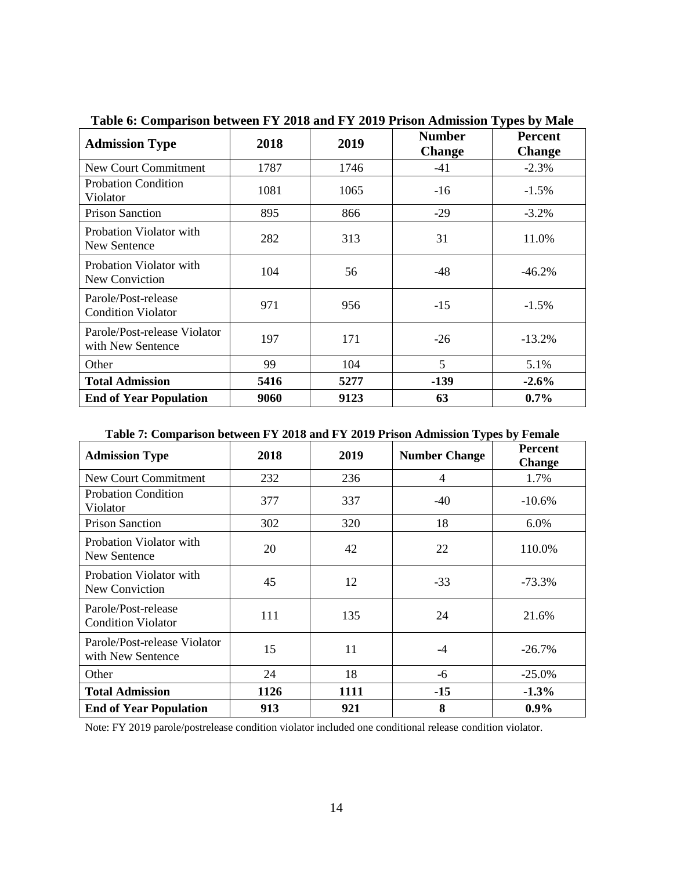| <b>Admission Type</b>                             | 2018 | 2019 | <b>Number</b><br><b>Change</b> | <b>Percent</b><br><b>Change</b> |
|---------------------------------------------------|------|------|--------------------------------|---------------------------------|
| <b>New Court Commitment</b>                       | 1787 | 1746 | -41                            | $-2.3%$                         |
| <b>Probation Condition</b><br>Violator            | 1081 | 1065 | $-16$                          | $-1.5%$                         |
| <b>Prison Sanction</b>                            | 895  | 866  | $-29$                          | $-3.2\%$                        |
| Probation Violator with<br>New Sentence           | 282  | 313  | 31                             | 11.0%                           |
| Probation Violator with<br>New Conviction         | 104  | 56   | -48                            | $-46.2%$                        |
| Parole/Post-release<br><b>Condition Violator</b>  | 971  | 956  | $-15$                          | $-1.5%$                         |
| Parole/Post-release Violator<br>with New Sentence | 197  | 171  | $-26$                          | $-13.2%$                        |
| Other                                             | 99   | 104  | 5                              | 5.1%                            |
| <b>Total Admission</b>                            | 5416 | 5277 | $-139$                         | $-2.6%$                         |
| <b>End of Year Population</b>                     | 9060 | 9123 | 63                             | $0.7\%$                         |

**Table 6: Comparison between FY 2018 and FY 2019 Prison Admission Types by Male**

#### **Table 7: Comparison between FY 2018 and FY 2019 Prison Admission Types by Female**

| <b>Admission Type</b>                             | 2018 | 2019 | <b>Number Change</b> | <b>Percent</b><br><b>Change</b> |
|---------------------------------------------------|------|------|----------------------|---------------------------------|
| New Court Commitment                              | 232  | 236  | 4                    | 1.7%                            |
| <b>Probation Condition</b><br>Violator            | 377  | 337  | $-40$                | $-10.6%$                        |
| <b>Prison Sanction</b>                            | 302  | 320  | 18                   | 6.0%                            |
| Probation Violator with<br>New Sentence           | 20   | 42   | 22                   | 110.0%                          |
| Probation Violator with<br>New Conviction         | 45   | 12   | $-33$                | $-73.3\%$                       |
| Parole/Post-release<br><b>Condition Violator</b>  | 111  | 135  | 24                   | 21.6%                           |
| Parole/Post-release Violator<br>with New Sentence | 15   | 11   | $-4$                 | $-26.7\%$                       |
| Other                                             | 24   | 18   | -6                   | $-25.0\%$                       |
| <b>Total Admission</b>                            | 1126 | 1111 | $-15$                | $-1.3%$                         |
| <b>End of Year Population</b>                     | 913  | 921  | 8                    | $0.9\%$                         |

Note: FY 2019 parole/postrelease condition violator included one conditional release condition violator.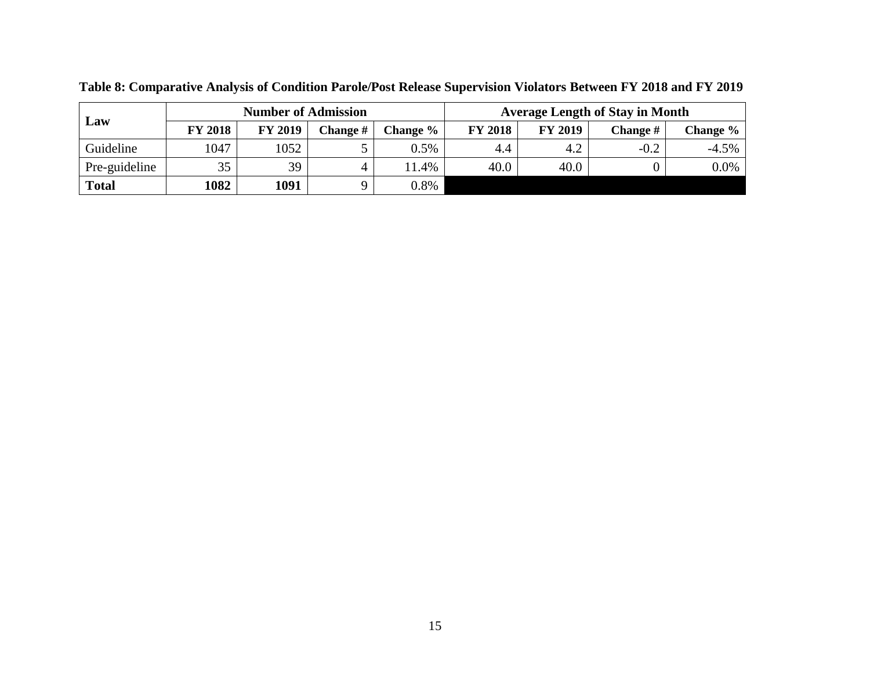| Law           |                | <b>Number of Admission</b> |                 |          | <b>Average Length of Stay in Month</b> |                |          |          |  |  |
|---------------|----------------|----------------------------|-----------------|----------|----------------------------------------|----------------|----------|----------|--|--|
|               | <b>FY 2018</b> | <b>FY 2019</b>             | <b>Change</b> # | Change % | <b>FY 2018</b>                         | <b>FY 2019</b> | Change # | Change % |  |  |
| Guideline     | 1047           | 1052                       |                 | $0.5\%$  | 4.4                                    | 4.2            | $-0.2$   | $-4.5\%$ |  |  |
| Pre-guideline | 35             | 39                         | 4               | 11.4%    | 40.0                                   | 40.0           |          | 0.0%     |  |  |
| <b>Total</b>  | 1082           | 1091                       |                 | 0.8%     |                                        |                |          |          |  |  |

**Table 8: Comparative Analysis of Condition Parole/Post Release Supervision Violators Between FY 2018 and FY 2019**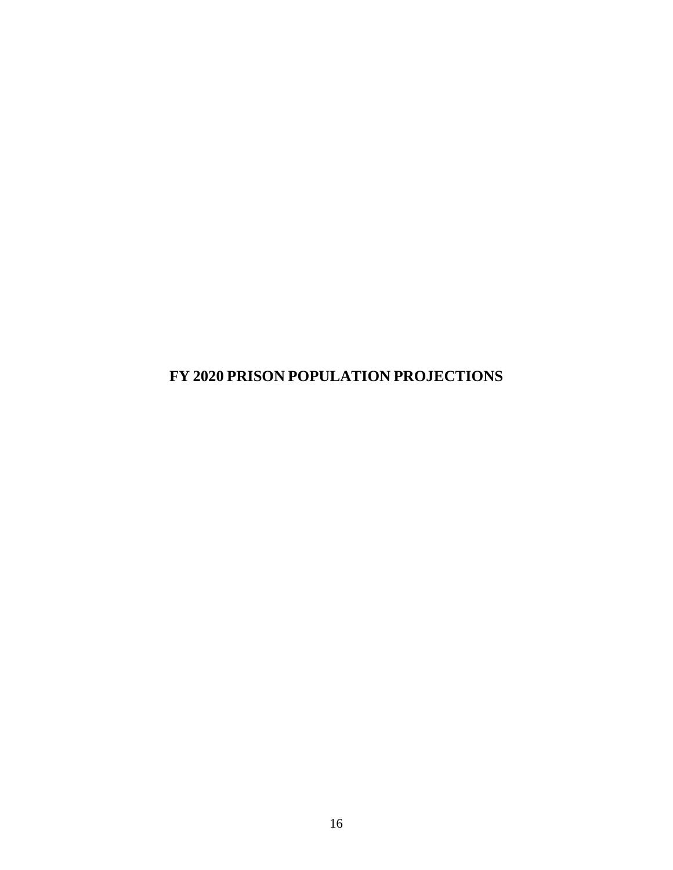<span id="page-19-0"></span>**FY 2020 PRISON POPULATION PROJECTIONS**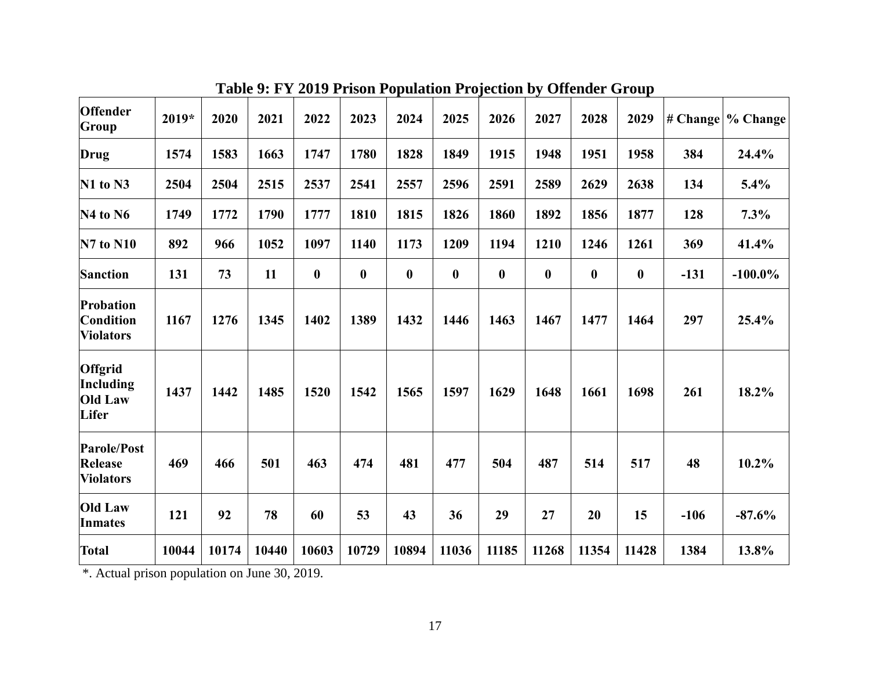| <b>Offender</b><br>Group                                 | $2019*$ | 2020  | 2021  | 2022             | 2023             | 2024             | 2025             | 2026             | 2027             | 2028             | 2029             |        | $\# \nChange$ / Change |
|----------------------------------------------------------|---------|-------|-------|------------------|------------------|------------------|------------------|------------------|------------------|------------------|------------------|--------|------------------------|
| Drug                                                     | 1574    | 1583  | 1663  | 1747             | 1780             | 1828             | 1849             | 1915             | 1948             | 1951             | 1958             | 384    | 24.4%                  |
| $N1$ to $N3$                                             | 2504    | 2504  | 2515  | 2537             | 2541             | 2557             | 2596             | 2591             | 2589             | 2629             | 2638             | 134    | 5.4%                   |
| $N4$ to $N6$                                             | 1749    | 1772  | 1790  | 1777             | 1810             | 1815             | 1826             | 1860             | 1892             | 1856             | 1877             | 128    | 7.3%                   |
| <b>N7 to N10</b>                                         | 892     | 966   | 1052  | 1097             | 1140             | 1173             | 1209             | 1194             | 1210             | 1246             | 1261             | 369    | 41.4%                  |
| <b>Sanction</b>                                          | 131     | 73    | 11    | $\boldsymbol{0}$ | $\boldsymbol{0}$ | $\boldsymbol{0}$ | $\boldsymbol{0}$ | $\boldsymbol{0}$ | $\boldsymbol{0}$ | $\boldsymbol{0}$ | $\boldsymbol{0}$ | $-131$ | $-100.0\%$             |
| Probation<br>Condition<br><b>Violators</b>               | 1167    | 1276  | 1345  | 1402             | 1389             | 1432             | 1446             | 1463             | 1467             | 1477             | 1464             | 297    | 25.4%                  |
| <b>Offgrid</b><br>Including<br><b>Old Law</b><br>Lifer   | 1437    | 1442  | 1485  | 1520             | 1542             | 1565             | 1597             | 1629             | 1648             | 1661             | 1698             | 261    | 18.2%                  |
| <b>Parole/Post</b><br><b>Release</b><br><b>Violators</b> | 469     | 466   | 501   | 463              | 474              | 481              | 477              | 504              | 487              | 514              | 517              | 48     | 10.2%                  |
| <b>Old Law</b><br><b>Inmates</b>                         | 121     | 92    | 78    | 60               | 53               | 43               | 36               | 29               | 27               | 20               | 15               | $-106$ | $-87.6%$               |
| <b>Total</b>                                             | 10044   | 10174 | 10440 | 10603            | 10729            | 10894            | 11036            | 11185            | 11268            | 11354            | 11428            | 1384   | 13.8%                  |

**Table 9: FY 2019 Prison Population Projection by Offender Group**

\*. Actual prison population on June 30, 2019.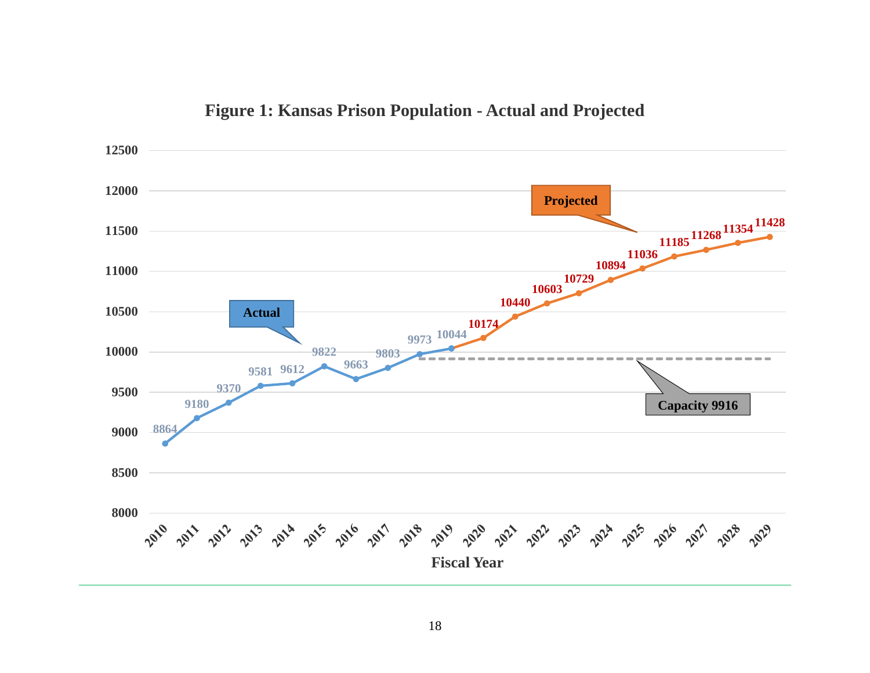

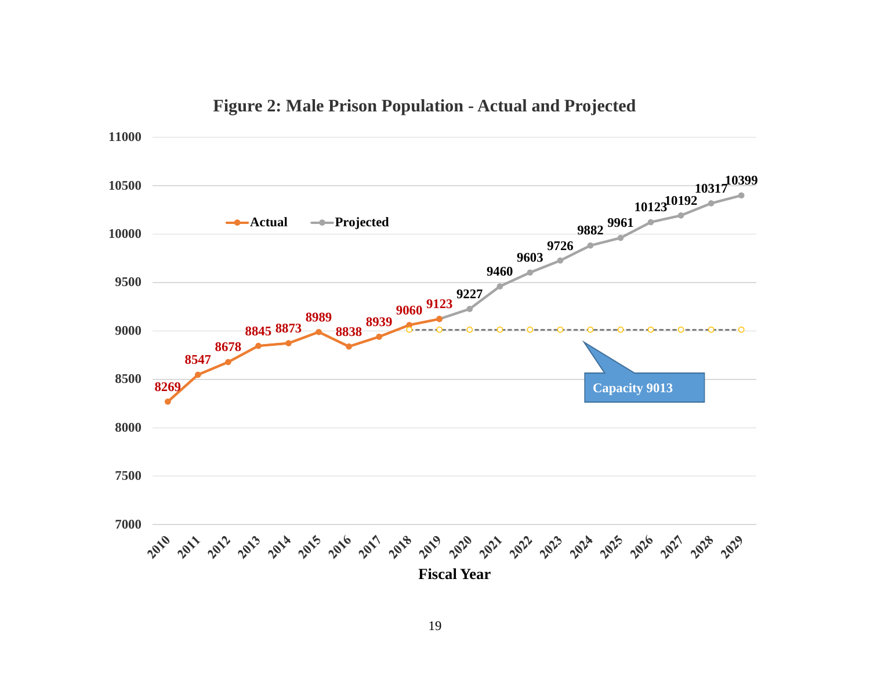

## **Figure 2: Male Prison Population - Actual and Projected**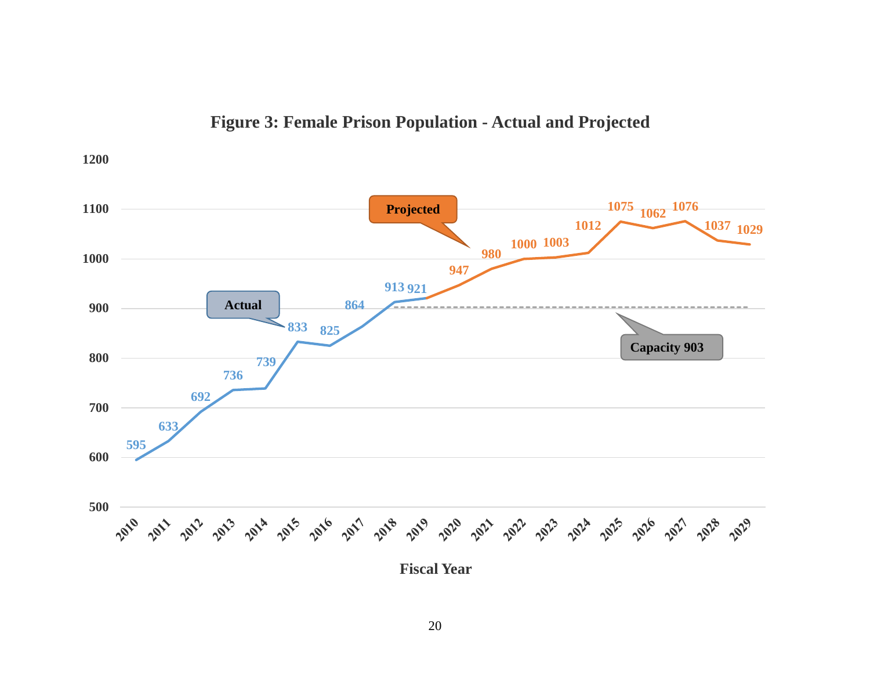

## **Figure 3: Female Prison Population - Actual and Projected**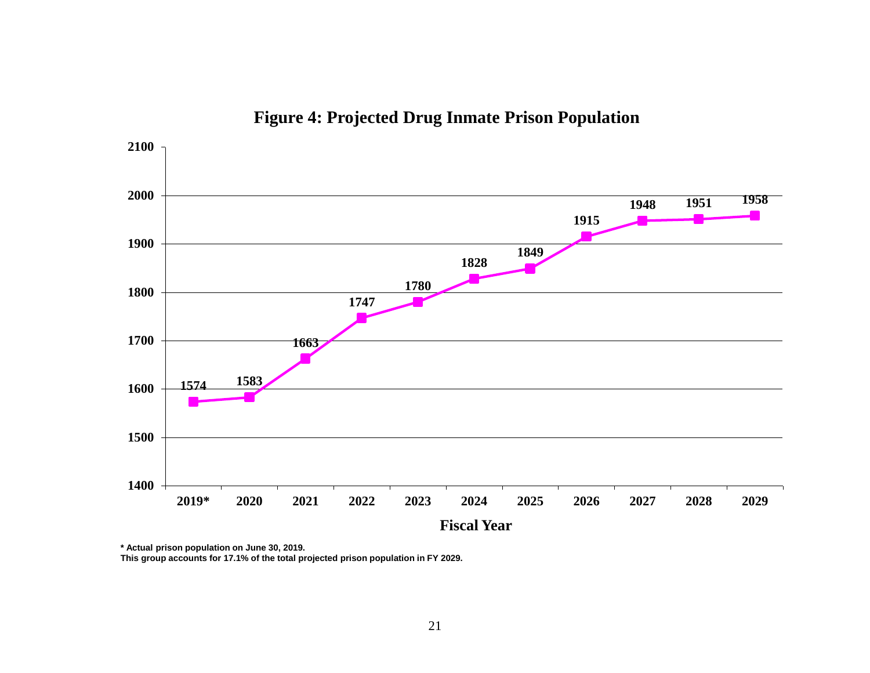

**Figure 4: Projected Drug Inmate Prison Population**

**\* Actual prison population on June 30, 2019.**

**This group accounts for 17.1% of the total projected prison population in FY 2029.**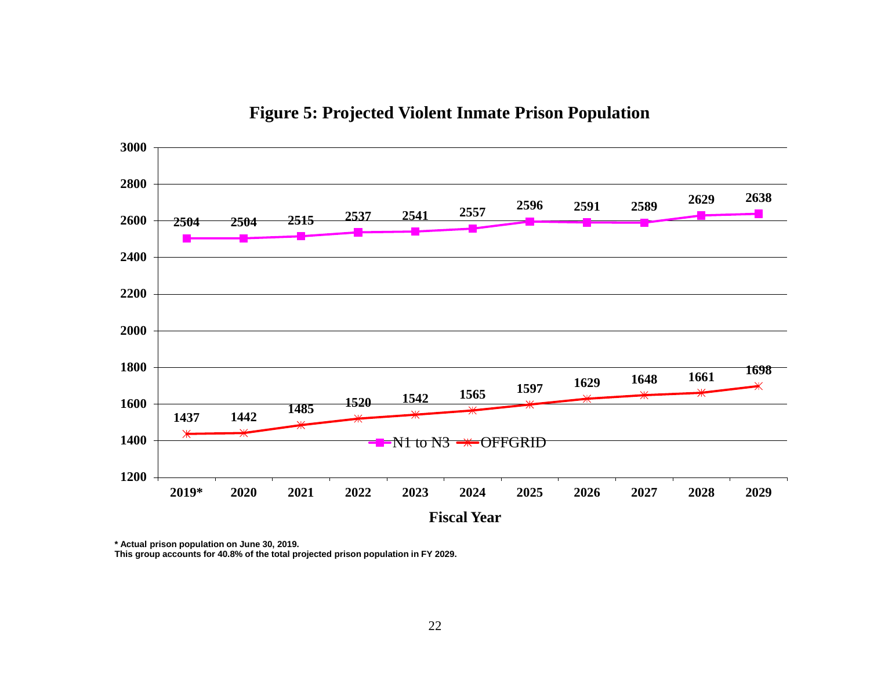

**Figure 5: Projected Violent Inmate Prison Population**

**\* Actual prison population on June 30, 2019.**

**This group accounts for 40.8% of the total projected prison population in FY 2029.**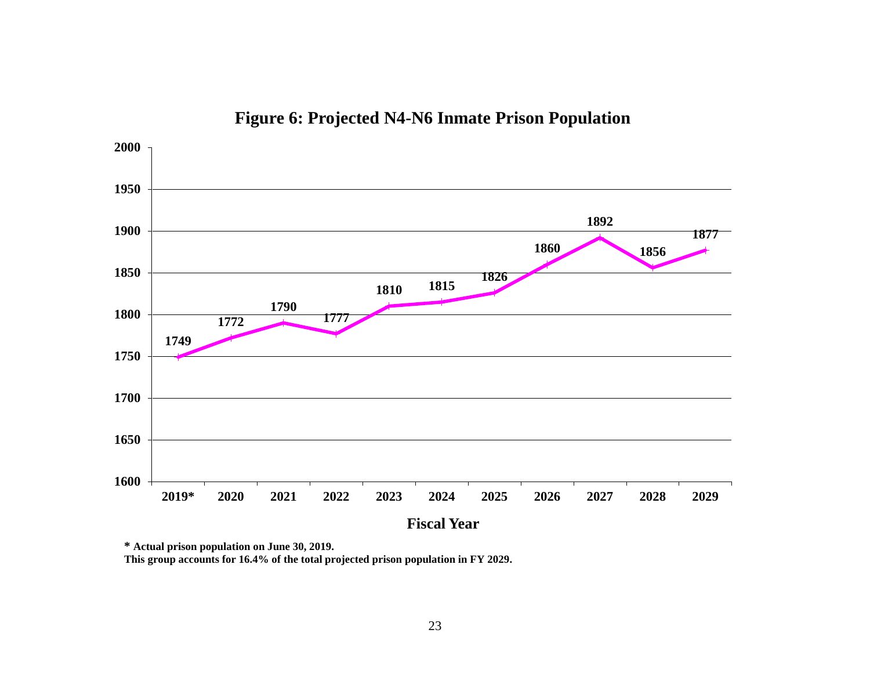

**Figure 6: Projected N4-N6 Inmate Prison Population** 

**\* Actual prison population on June 30, 2019.**

**This group accounts for 16.4% of the total projected prison population in FY 2029.**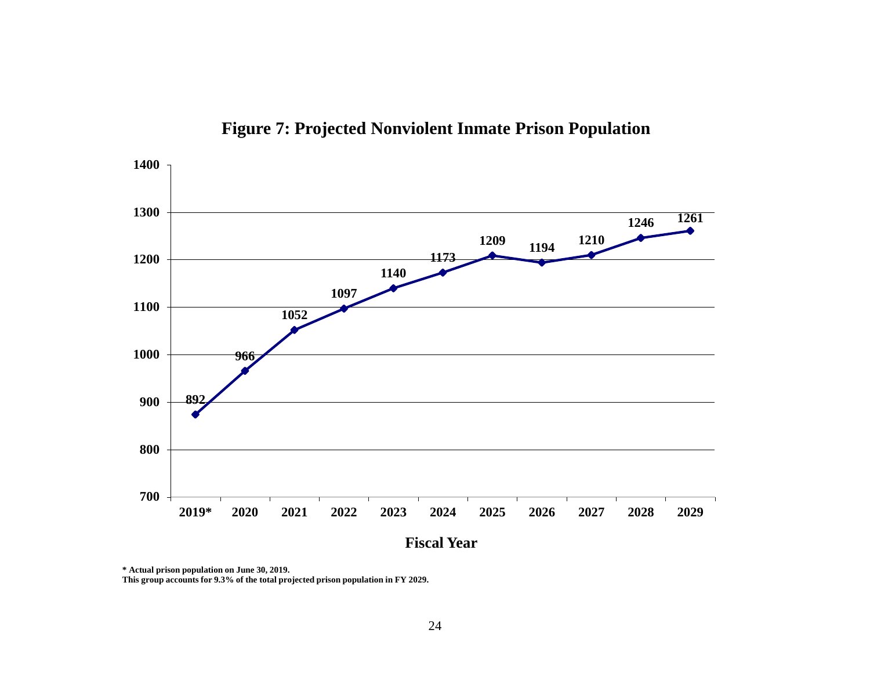

**Figure 7: Projected Nonviolent Inmate Prison Population**

**\* Actual prison population on June 30, 2019.**

**This group accounts for 9.3% of the total projected prison population in FY 2029.**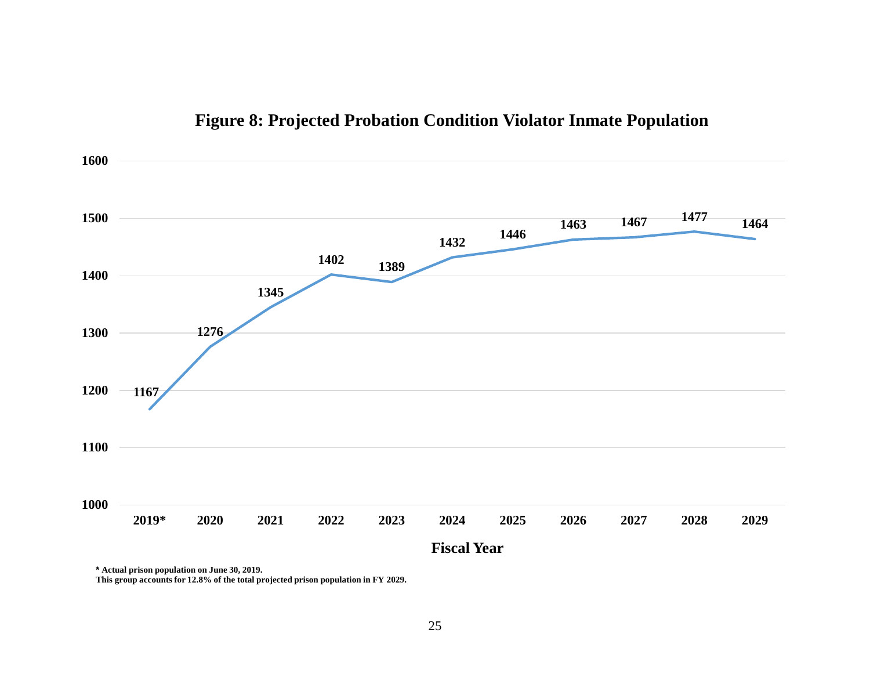

## **Figure 8: Projected Probation Condition Violator Inmate Population**

**\* Actual prison population on June 30, 2019.**

**This group accounts for 12.8% of the total projected prison population in FY 2029.**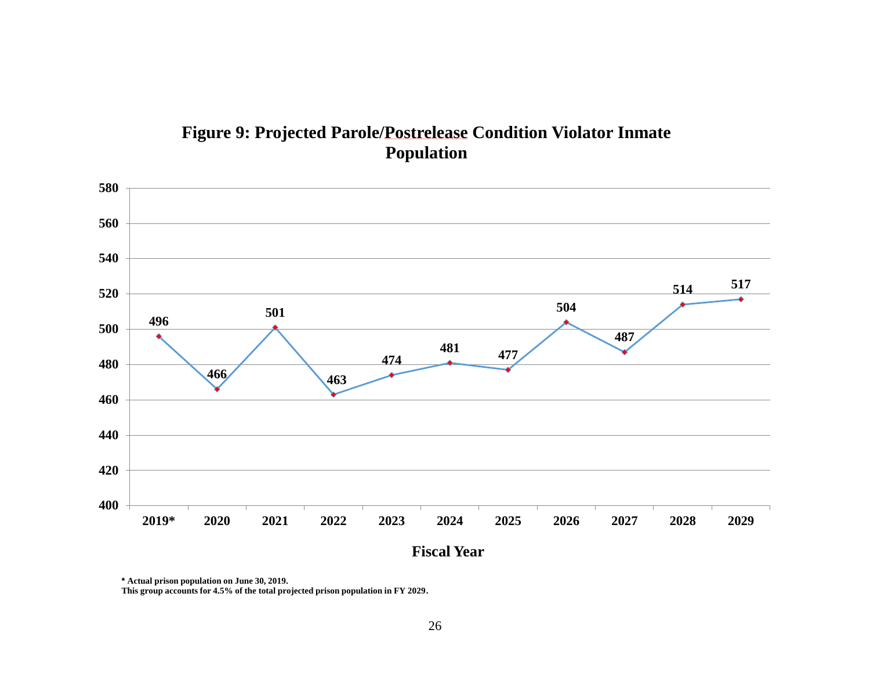## **Figure 9: Projected Parole/Postrelease Condition Violator Inmate Population**



**\* Actual prison population on June 30, 2019.**

**This group accounts for 4.5% of the total projected prison population in FY 2029.**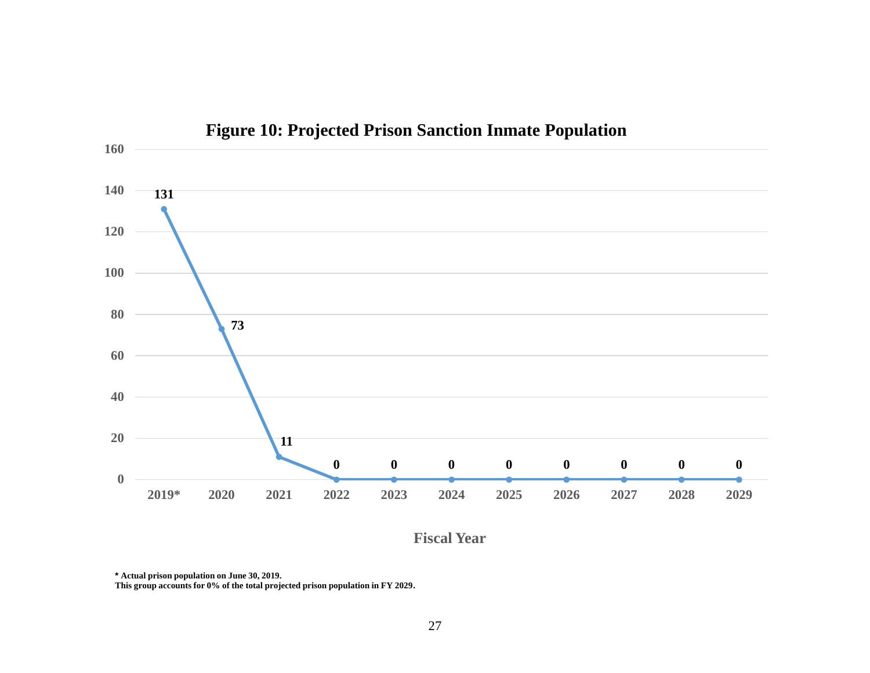

**Figure 10: Projected Prison Sanction Inmate Population**

**Fiscal Year**

**\* Actual prison population on June 30, 2019.**

**This group accounts for 0% of the total projected prison population in FY 2029.**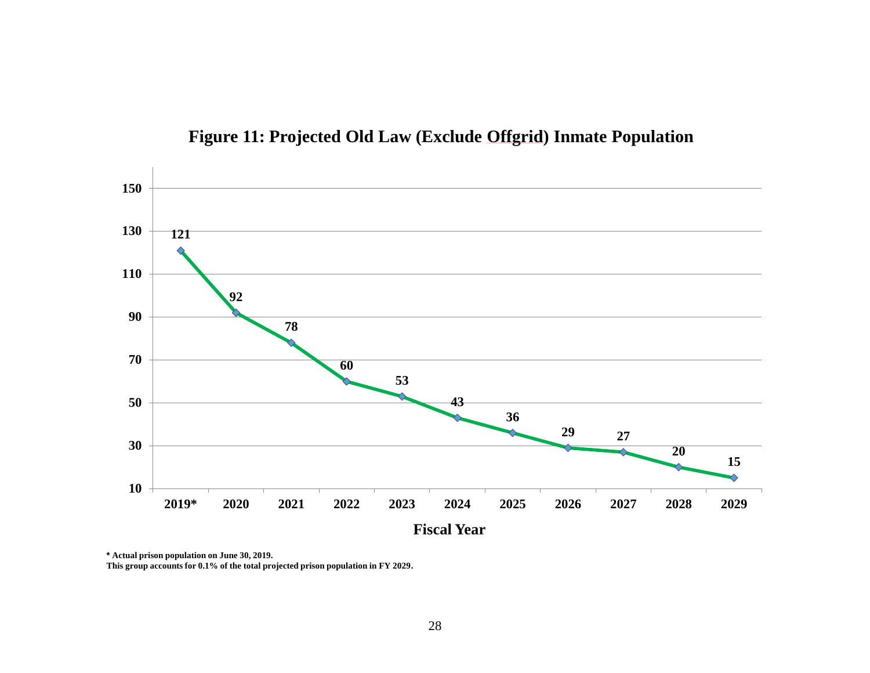

**Figure 11: Projected Old Law (Exclude Offgrid) Inmate Population**

**\* Actual prison population on June 30, 2019.**

**This group accounts for 0.1% of the total projected prison population in FY 2029.**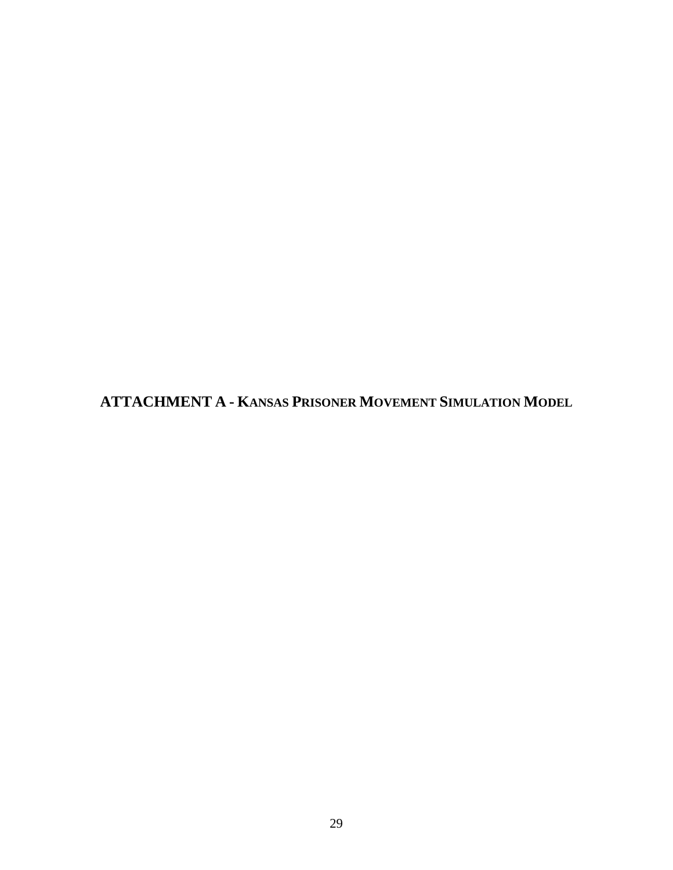<span id="page-32-0"></span>**ATTACHMENT A - KANSAS PRISONER MOVEMENT SIMULATION MODEL**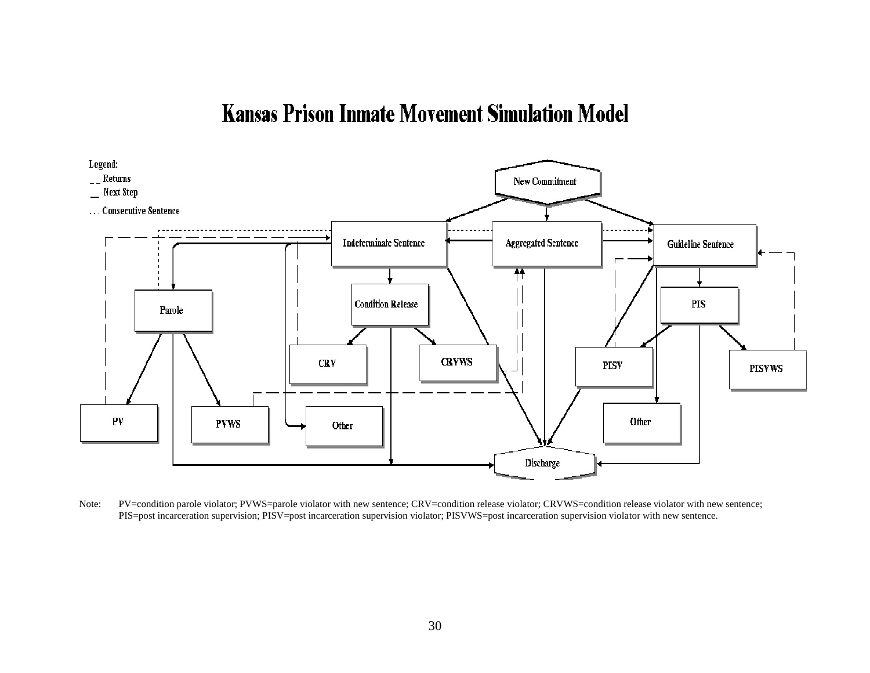## **Kansas Prison Inmate Movement Simulation Model**



Note: PV=condition parole violator; PVWS=parole violator with new sentence; CRV=condition release violator; CRVWS=condition release violator with new sentence; PIS=post incarceration supervision; PISV=post incarceration supervision violator; PISVWS=post incarceration supervision violator with new sentence.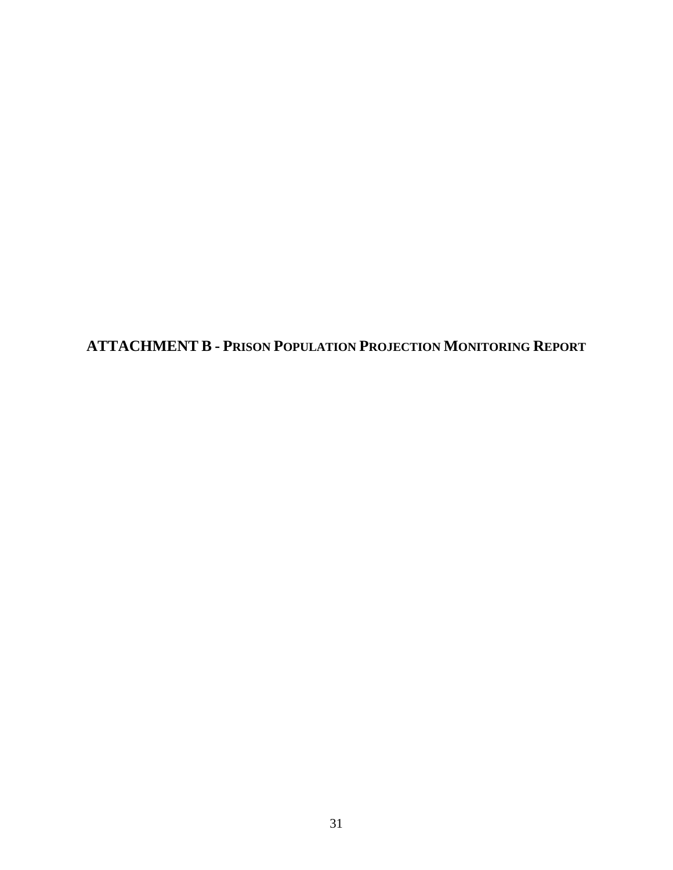<span id="page-34-0"></span>**ATTACHMENT B - PRISON POPULATION PROJECTION MONITORING REPORT**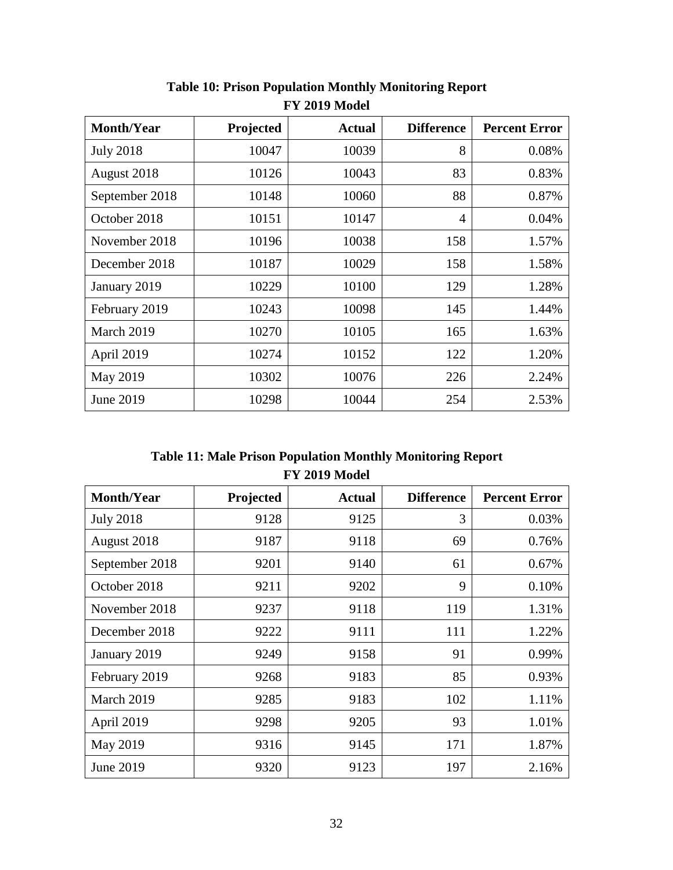| <b>Month/Year</b> | Projected | <b>Actual</b> | <b>Difference</b> | <b>Percent Error</b> |
|-------------------|-----------|---------------|-------------------|----------------------|
| <b>July 2018</b>  | 10047     | 10039         | 8                 | 0.08%                |
| August 2018       | 10126     | 10043         | 83                | 0.83%                |
| September 2018    | 10148     | 10060         | 88                | 0.87%                |
| October 2018      | 10151     | 10147         | $\overline{4}$    | 0.04%                |
| November 2018     | 10196     | 10038         | 158               | 1.57%                |
| December 2018     | 10187     | 10029         | 158               | 1.58%                |
| January 2019      | 10229     | 10100         | 129               | 1.28%                |
| February 2019     | 10243     | 10098         | 145               | 1.44%                |
| March 2019        | 10270     | 10105         | 165               | 1.63%                |
| April 2019        | 10274     | 10152         | 122               | 1.20%                |
| May 2019          | 10302     | 10076         | 226               | 2.24%                |
| June 2019         | 10298     | 10044         | 254               | 2.53%                |

**Table 10: Prison Population Monthly Monitoring Report FY 2019 Model**

**Table 11: Male Prison Population Monthly Monitoring Report FY 2019 Model**

| <b>Month/Year</b> | Projected | <b>Actual</b> | <b>Difference</b> | <b>Percent Error</b> |
|-------------------|-----------|---------------|-------------------|----------------------|
| <b>July 2018</b>  | 9128      | 9125          | 3                 | 0.03%                |
| August 2018       | 9187      | 9118          | 69                | 0.76%                |
| September 2018    | 9201      | 9140          | 61                | 0.67%                |
| October 2018      | 9211      | 9202          | 9                 | 0.10%                |
| November 2018     | 9237      | 9118          | 119               | 1.31%                |
| December 2018     | 9222      | 9111          | 111               | 1.22%                |
| January 2019      | 9249      | 9158          | 91                | 0.99%                |
| February 2019     | 9268      | 9183          | 85                | 0.93%                |
| March 2019        | 9285      | 9183          | 102               | 1.11%                |
| April 2019        | 9298      | 9205          | 93                | 1.01%                |
| May 2019          | 9316      | 9145          | 171               | 1.87%                |
| June 2019         | 9320      | 9123          | 197               | 2.16%                |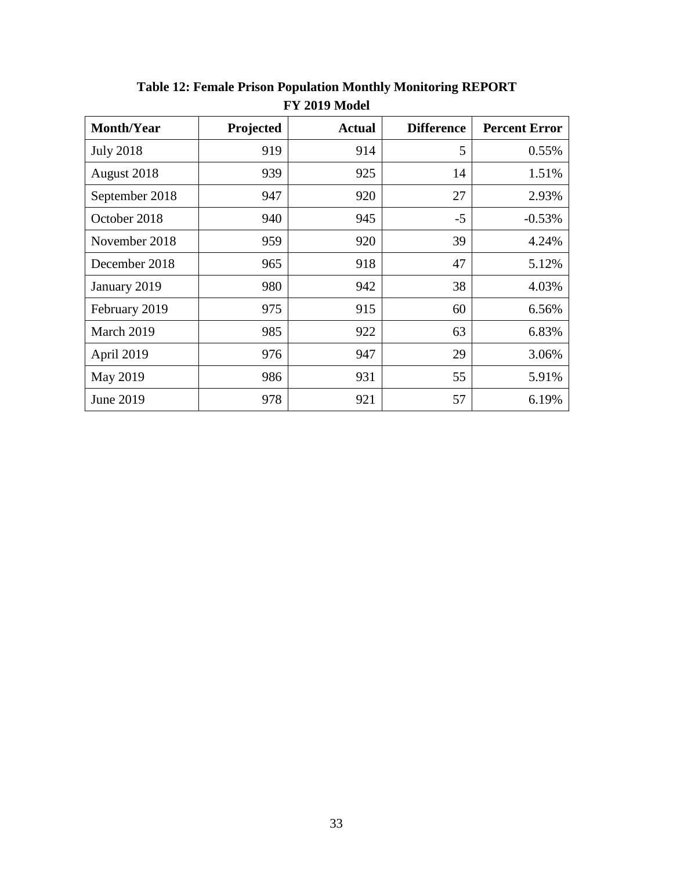| <b>Month/Year</b> | Projected | <b>Actual</b> | <b>Difference</b> | <b>Percent Error</b> |
|-------------------|-----------|---------------|-------------------|----------------------|
| <b>July 2018</b>  | 919       | 914           | 5                 | 0.55%                |
| August 2018       | 939       | 925           | 14                | 1.51%                |
| September 2018    | 947       | 920           | 27                | 2.93%                |
| October 2018      | 940       | 945           | $-5$              | $-0.53%$             |
| November 2018     | 959       | 920           | 39                | 4.24%                |
| December 2018     | 965       | 918           | 47                | 5.12%                |
| January 2019      | 980       | 942           | 38                | 4.03%                |
| February 2019     | 975       | 915           | 60                | 6.56%                |
| March 2019        | 985       | 922           | 63                | 6.83%                |
| April 2019        | 976       | 947           | 29                | 3.06%                |
| May 2019          | 986       | 931           | 55                | 5.91%                |
| June 2019         | 978       | 921           | 57                | 6.19%                |

**Table 12: Female Prison Population Monthly Monitoring REPORT FY 2019 Model**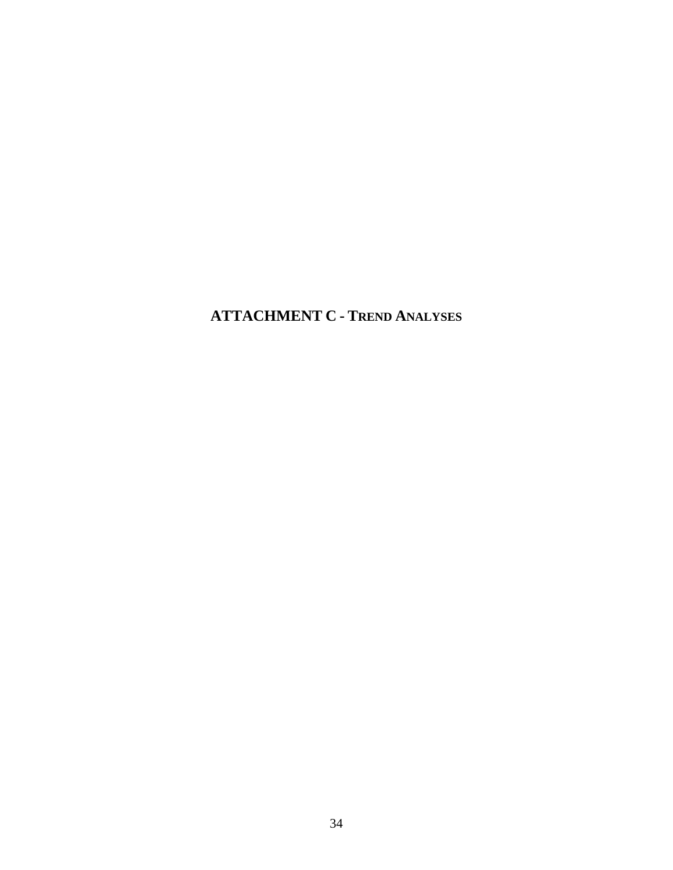<span id="page-37-0"></span>**ATTACHMENT C - TREND ANALYSES**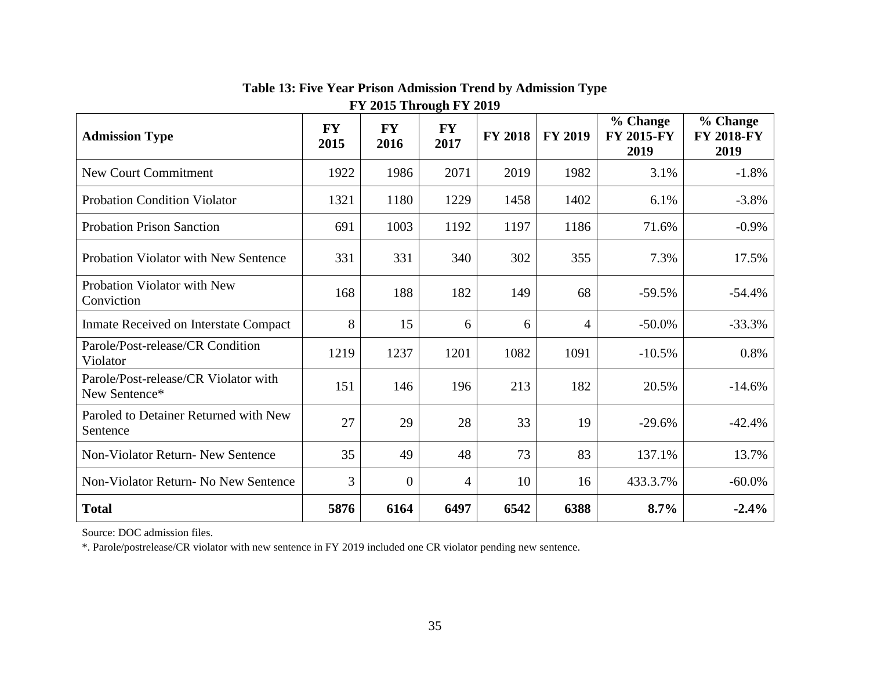| <b>Admission Type</b>                                 | <b>FY</b><br>2015 | <b>FY</b><br>2016 | <b>FY</b><br>2017 | <b>FY 2018</b> | <b>FY 2019</b> | % Change<br><b>FY 2015-FY</b><br>2019 | % Change<br><b>FY 2018-FY</b><br>2019 |
|-------------------------------------------------------|-------------------|-------------------|-------------------|----------------|----------------|---------------------------------------|---------------------------------------|
| <b>New Court Commitment</b>                           | 1922              | 1986              | 2071              | 2019           | 1982           | 3.1%                                  | $-1.8%$                               |
| <b>Probation Condition Violator</b>                   | 1321              | 1180              | 1229              | 1458           | 1402           | 6.1%                                  | $-3.8%$                               |
| <b>Probation Prison Sanction</b>                      | 691               | 1003              | 1192              | 1197           | 1186           | 71.6%                                 | $-0.9\%$                              |
| Probation Violator with New Sentence                  | 331               | 331               | 340               | 302            | 355            | 7.3%                                  | 17.5%                                 |
| Probation Violator with New<br>Conviction             | 168               | 188               | 182               | 149            | 68             | $-59.5%$                              | $-54.4%$                              |
| Inmate Received on Interstate Compact                 | 8                 | 15                | 6                 | 6              | 4              | $-50.0\%$                             | $-33.3%$                              |
| Parole/Post-release/CR Condition<br>Violator          | 1219              | 1237              | 1201              | 1082           | 1091           | $-10.5%$                              | 0.8%                                  |
| Parole/Post-release/CR Violator with<br>New Sentence* | 151               | 146               | 196               | 213            | 182            | 20.5%                                 | $-14.6%$                              |
| Paroled to Detainer Returned with New<br>Sentence     | 27                | 29                | 28                | 33             | 19             | $-29.6%$                              | $-42.4%$                              |
| <b>Non-Violator Return- New Sentence</b>              | 35                | 49                | 48                | 73             | 83             | 137.1%                                | 13.7%                                 |
| Non-Violator Return- No New Sentence                  | 3                 | $\overline{0}$    | 4                 | 10             | 16             | 433.3.7%                              | $-60.0\%$                             |
| <b>Total</b>                                          | 5876              | 6164              | 6497              | 6542           | 6388           | 8.7%                                  | $-2.4%$                               |

**Table 13: Five Year Prison Admission Trend by Admission Type FY 2015 Through FY 2019**

Source: DOC admission files.

\*. Parole/postrelease/CR violator with new sentence in FY 2019 included one CR violator pending new sentence.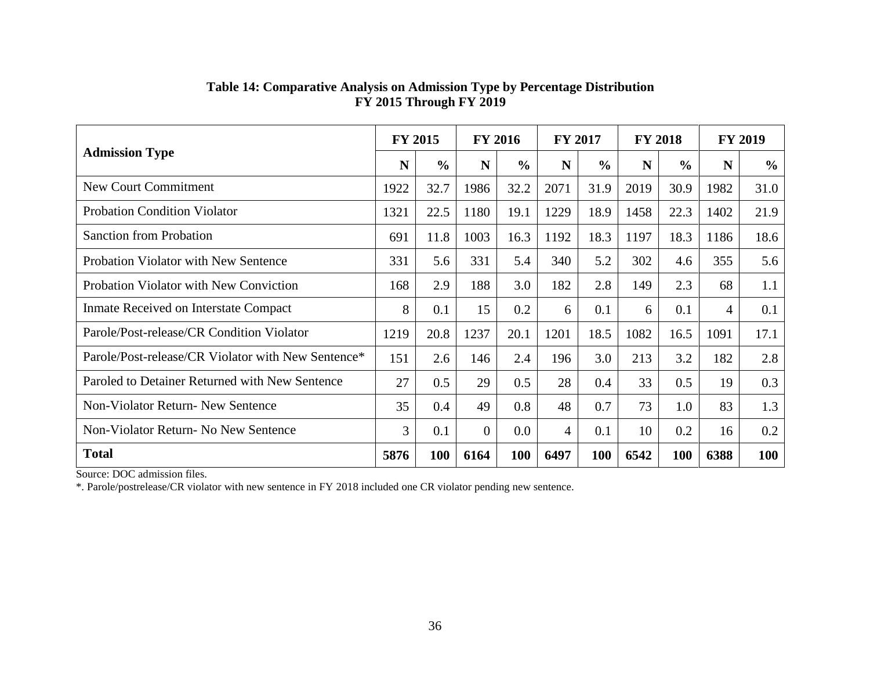|                                                    |      | <b>FY 2015</b> | <b>FY 2016</b> |               | <b>FY 2017</b> |               | <b>FY 2018</b> |               | <b>FY 2019</b> |               |
|----------------------------------------------------|------|----------------|----------------|---------------|----------------|---------------|----------------|---------------|----------------|---------------|
| <b>Admission Type</b>                              | N    | $\frac{0}{0}$  | N              | $\frac{6}{6}$ | N              | $\frac{6}{6}$ | N              | $\frac{0}{0}$ | N              | $\frac{0}{0}$ |
| New Court Commitment                               | 1922 | 32.7           | 1986           | 32.2          | 2071           | 31.9          | 2019           | 30.9          | 1982           | 31.0          |
| <b>Probation Condition Violator</b>                | 1321 | 22.5           | 1180           | 19.1          | 1229           | 18.9          | 1458           | 22.3          | 1402           | 21.9          |
| <b>Sanction from Probation</b>                     | 691  | 11.8           | 1003           | 16.3          | 1192           | 18.3          | 1197           | 18.3          | 1186           | 18.6          |
| Probation Violator with New Sentence               | 331  | 5.6            | 331            | 5.4           | 340            | 5.2           | 302            | 4.6           | 355            | 5.6           |
| Probation Violator with New Conviction             | 168  | 2.9            | 188            | 3.0           | 182            | 2.8           | 149            | 2.3           | 68             | 1.1           |
| Inmate Received on Interstate Compact              | 8    | 0.1            | 15             | 0.2           | 6              | 0.1           | 6              | 0.1           | 4              | 0.1           |
| Parole/Post-release/CR Condition Violator          | 1219 | 20.8           | 1237           | 20.1          | 1201           | 18.5          | 1082           | 16.5          | 1091           | 17.1          |
| Parole/Post-release/CR Violator with New Sentence* | 151  | 2.6            | 146            | 2.4           | 196            | 3.0           | 213            | 3.2           | 182            | 2.8           |
| Paroled to Detainer Returned with New Sentence     | 27   | 0.5            | 29             | 0.5           | 28             | 0.4           | 33             | 0.5           | 19             | 0.3           |
| Non-Violator Return- New Sentence                  | 35   | 0.4            | 49             | 0.8           | 48             | 0.7           | 73             | 1.0           | 83             | 1.3           |
| Non-Violator Return- No New Sentence               | 3    | 0.1            | $\overline{0}$ | 0.0           | 4              | 0.1           | 10             | 0.2           | 16             | 0.2           |
| <b>Total</b>                                       | 5876 | 100            | 6164           | <b>100</b>    | 6497           | 100           | 6542           | 100           | 6388           | 100           |

#### **Table 14: Comparative Analysis on Admission Type by Percentage Distribution FY 2015 Through FY 2019**

Source: DOC admission files.

\*. Parole/postrelease/CR violator with new sentence in FY 2018 included one CR violator pending new sentence.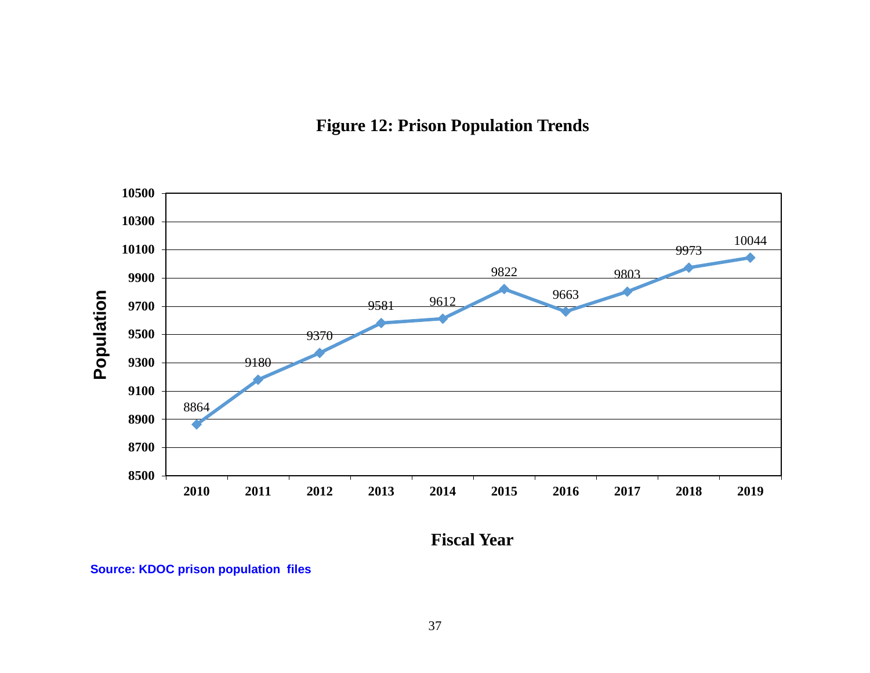## **Figure 12: Prison Population Trends**



**Fiscal Year**

**Source: KDOC prison population files**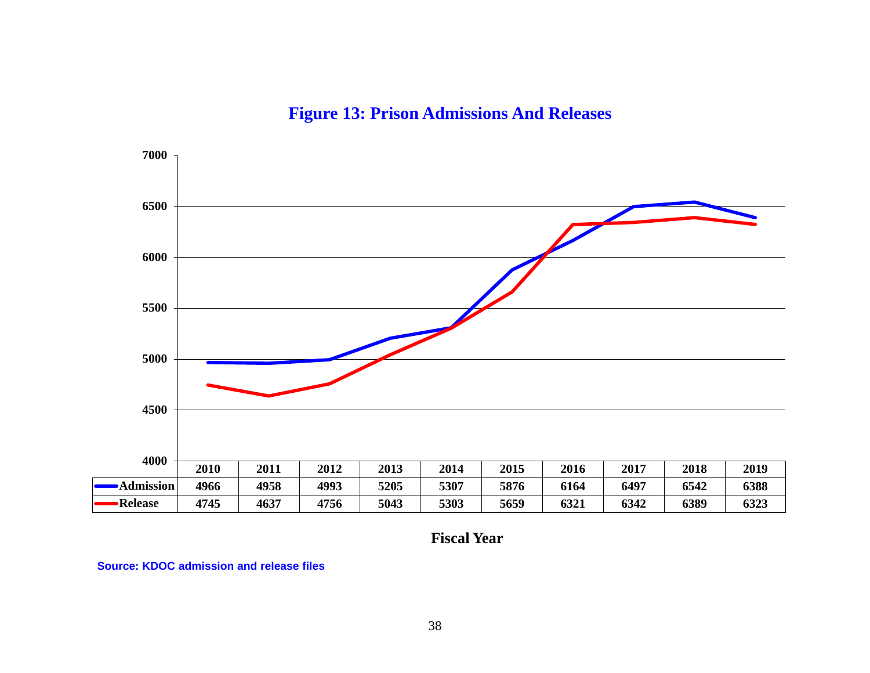**Figure 13: Prison Admissions And Releases**



**Fiscal Year**

**Source: KDOC admission and release files**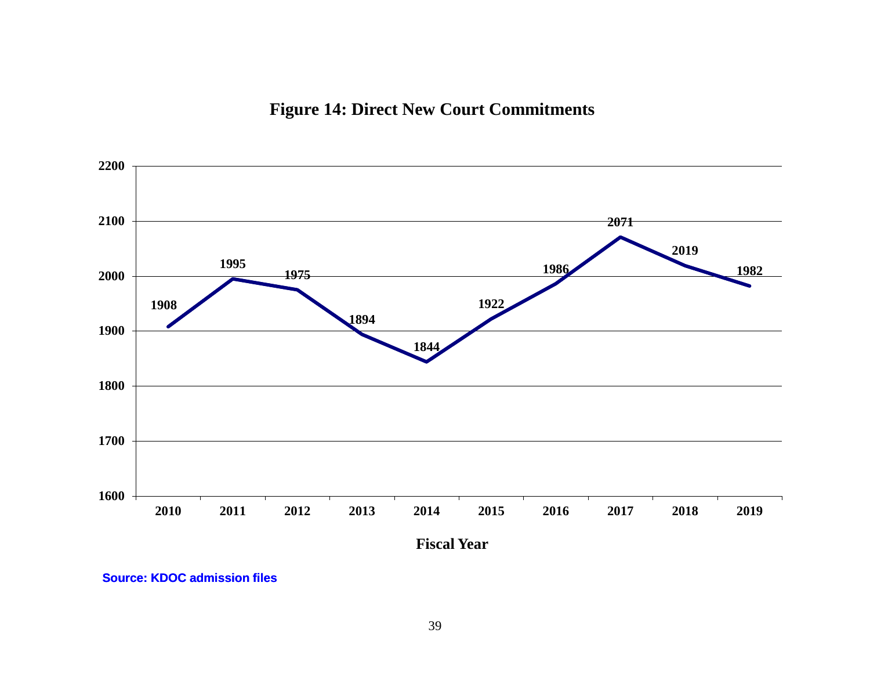## **Figure 14: Direct New Court Commitments**



**Source: KDOC admission files**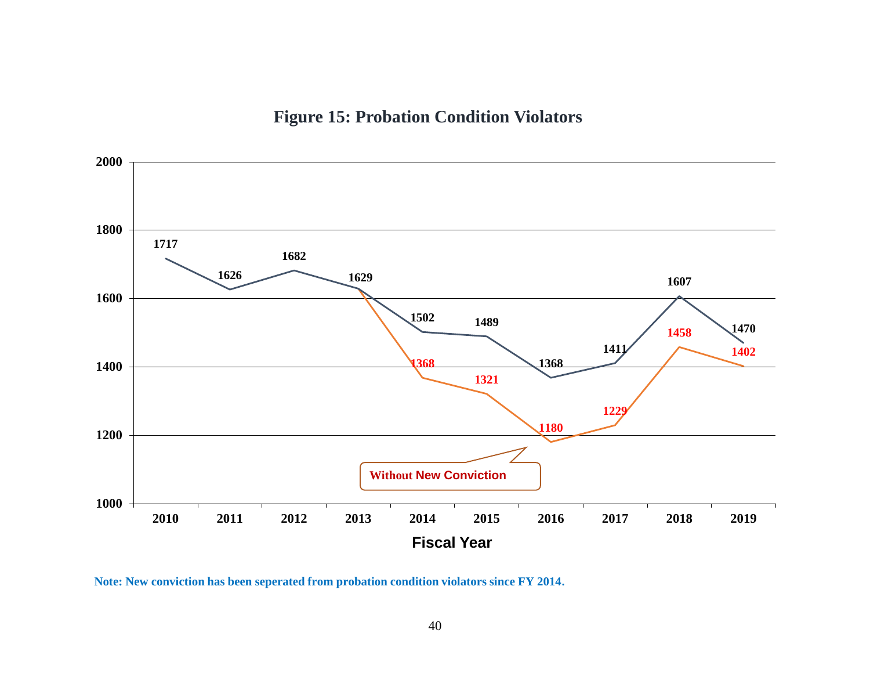## **Figure 15: Probation Condition Violators**



**Note: New conviction has been seperated from probation condition violators since FY 2014.**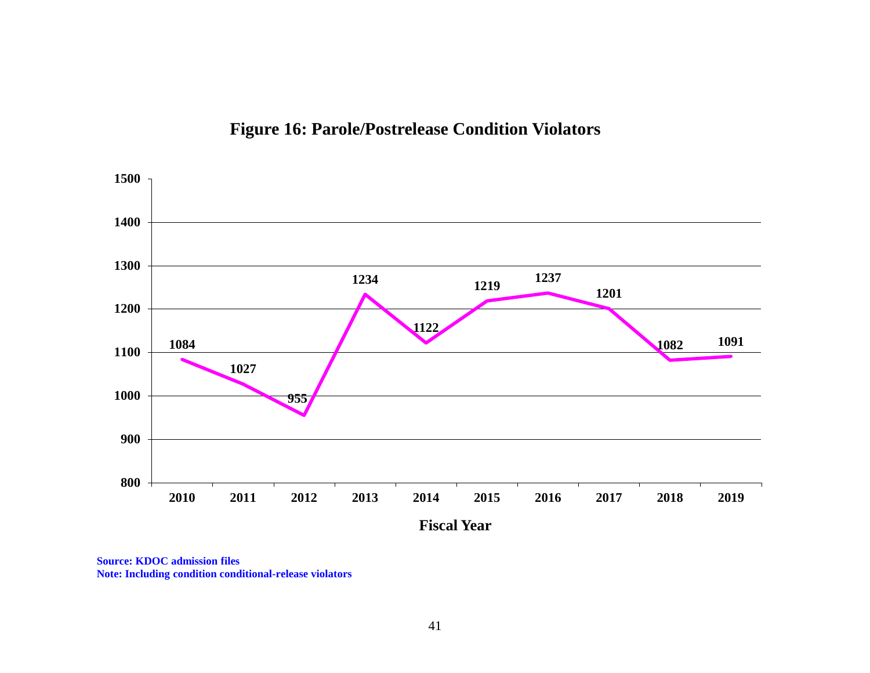



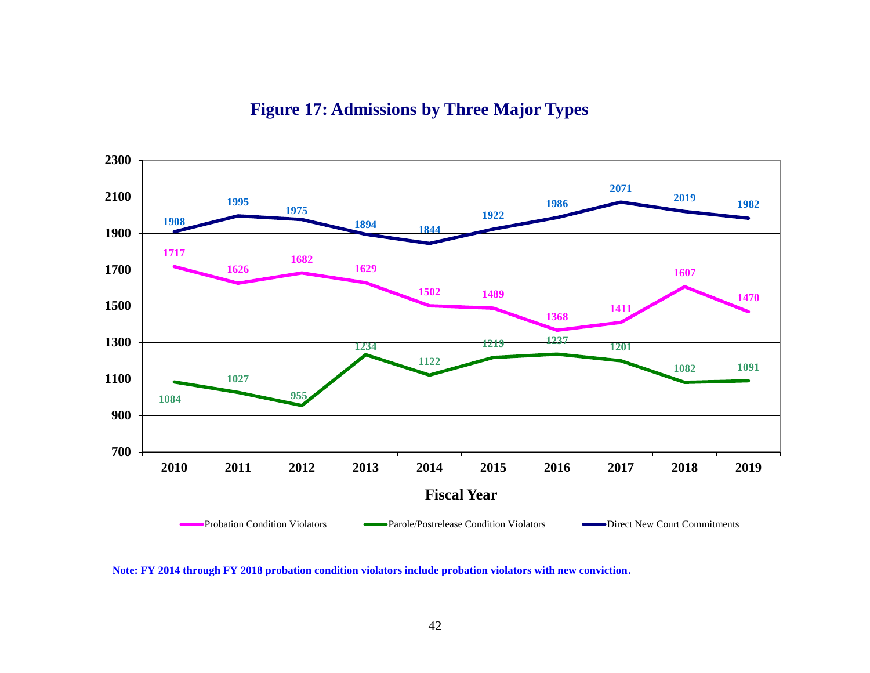

## **Figure 17: Admissions by Three Major Types**

**Note: FY 2014 through FY 2018 probation condition violators include probation violators with new conviction.**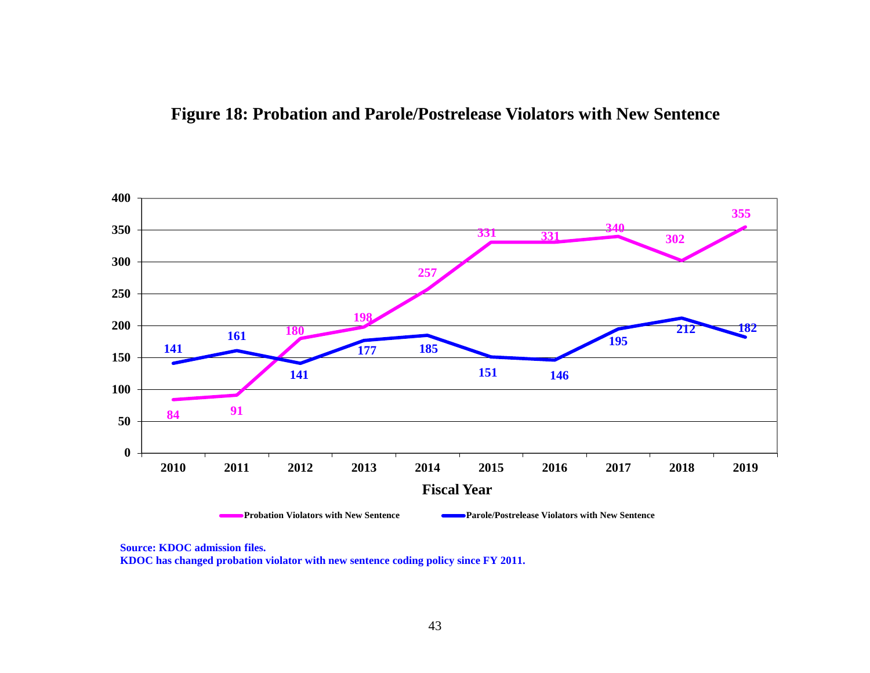



**Source: KDOC admission files.**

**KDOC has changed probation violator with new sentence coding policy since FY 2011.**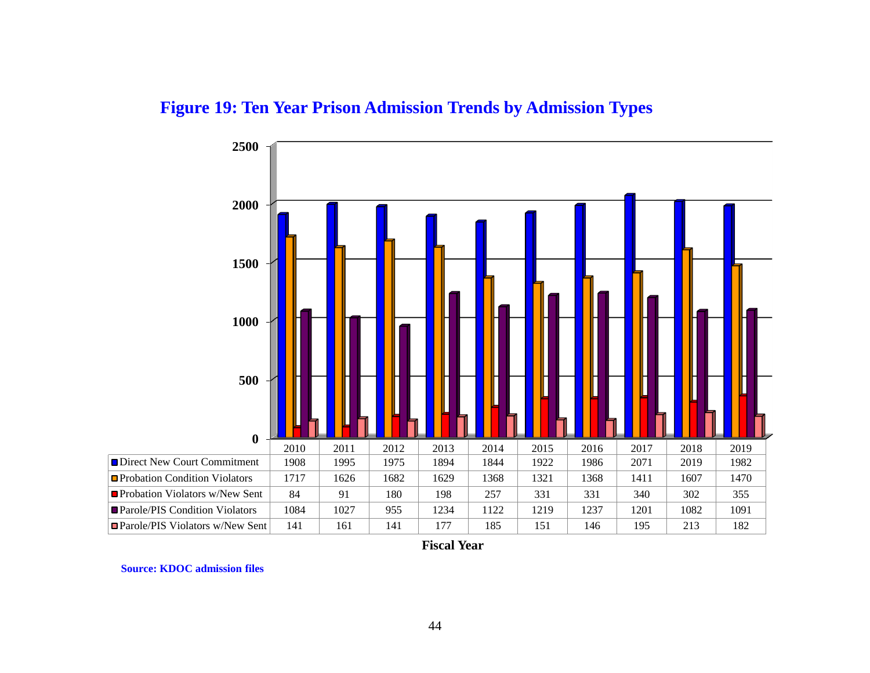



**Fiscal Year**

**Source: KDOC admission files**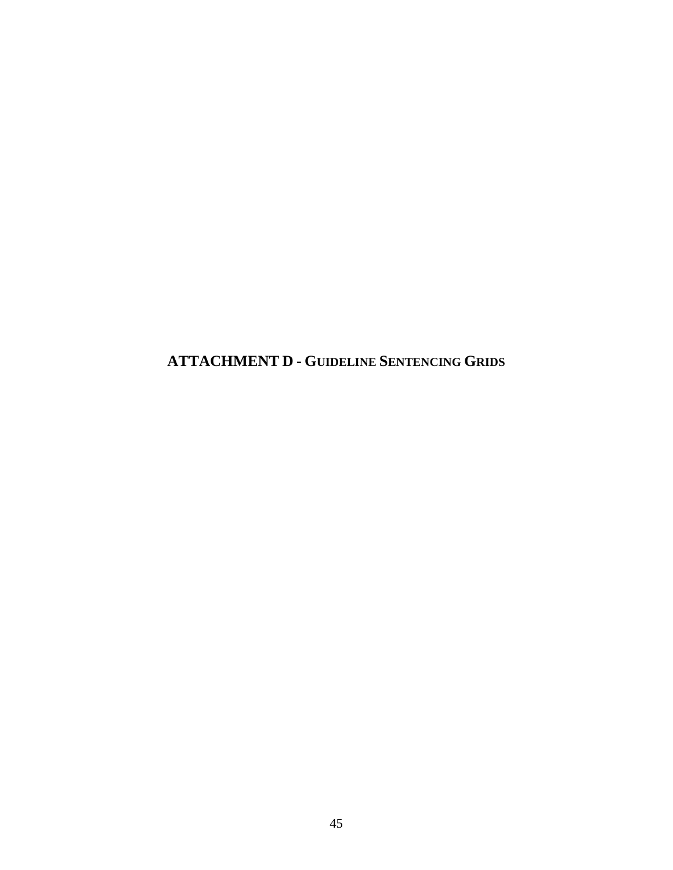<span id="page-48-0"></span>**ATTACHMENT D - GUIDELINE SENTENCING GRIDS**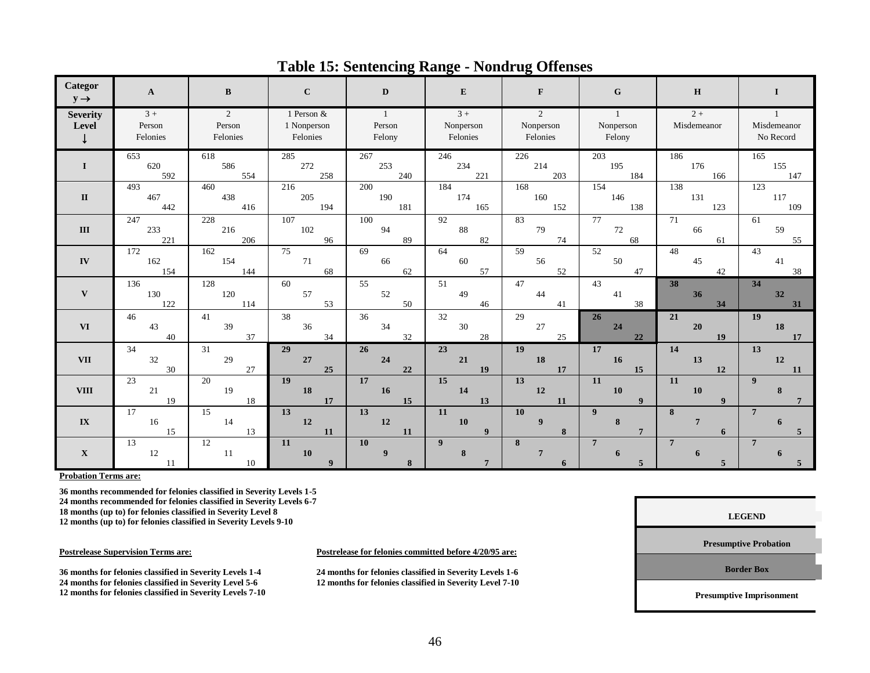| Categor<br>$y \rightarrow$               | $\mathbf{A}$               | B                       | $\mathbf{C}$                          | D                                  | ${\bf E}$                     | F                          | $\mathbf G$                         | H                    | 1                        |
|------------------------------------------|----------------------------|-------------------------|---------------------------------------|------------------------------------|-------------------------------|----------------------------|-------------------------------------|----------------------|--------------------------|
| <b>Severity</b><br>Level<br>$\downarrow$ | $3+$<br>Person<br>Felonies | 2<br>Person<br>Felonies | 1 Person &<br>1 Nonperson<br>Felonies | $\overline{1}$<br>Person<br>Felony | $3+$<br>Nonperson<br>Felonies | 2<br>Nonperson<br>Felonies | $\mathbf{1}$<br>Nonperson<br>Felony | $2 +$<br>Misdemeanor | Misdemeanor<br>No Record |
| $\bf{I}$                                 | 653                        | 618                     | 285                                   | 267                                | 246                           | 226                        | 203                                 | 186                  | 165                      |
|                                          | 620                        | 586                     | 272                                   | 253                                | 234                           | 214                        | 195                                 | 176                  | 155                      |
|                                          | 592                        | 554                     | 258                                   | 240                                | 221                           | 203                        | 184                                 | 166                  | 147                      |
| $\mathbf{I}$                             | 493                        | 460                     | 216                                   | 200                                | 184                           | 168                        | 154                                 | 138                  | 123                      |
|                                          | 467                        | 438                     | 205                                   | 190                                | 174                           | 160                        | 146                                 | 131                  | 117                      |
|                                          | 442                        | 416                     | 194                                   | 181                                | 165                           | 152                        | 138                                 | 123                  | 109                      |
| $\mathbf{III}$                           | 247                        | 228                     | 107                                   | 100                                | 92                            | 83                         | 77                                  | 71                   | 61                       |
|                                          | 233                        | 216                     | 102                                   | 94                                 | 88                            | 79                         | 72                                  | 66                   | 59                       |
|                                          | 221                        | 206                     | 96                                    | 89                                 | 82                            | 74                         | 68                                  | 61                   | 55                       |
| ${\bf IV}$                               | 172                        | 162                     | 75                                    | 69                                 | 64                            | 59                         | 52                                  | 48                   | 43                       |
|                                          | 162                        | 154                     | 71                                    | 66                                 | 60                            | 56                         | 50                                  | 45                   | 41                       |
|                                          | 154                        | 144                     | 68                                    | 62                                 | 57                            | 52                         | 47                                  | 42                   | 38                       |
| $\mathbf{V}$                             | 136                        | 128                     | 60                                    | 55                                 | 51                            | 47                         | 43                                  | 38                   | 34                       |
|                                          | 130                        | 120                     | 57                                    | 52                                 | 49                            | 44                         | 41                                  | 36                   | 32                       |
|                                          | 122                        | 114                     | 53                                    | 50                                 | 46                            | 41                         | 38                                  | 34                   | 31                       |
| <b>VI</b>                                | 46                         | 41                      | 38                                    | 36                                 | 32                            | 29                         | 26                                  | 21                   | 19                       |
|                                          | 43                         | 39                      | 36                                    | 34                                 | $30\,$                        | 27                         | 24                                  | ${\bf 20}$           | ${\bf 18}$               |
|                                          | 40                         | 37                      | 34                                    | 32                                 | 28                            | 25                         | 22                                  | 19                   | 17                       |
| <b>VII</b>                               | 34                         | 31                      | 29                                    | 26                                 | 23                            | 19                         | 17                                  | 14                   | 13                       |
|                                          | 32                         | 29                      | 27                                    | 24                                 | 21                            | ${\bf 18}$                 | 16                                  | 13                   | 12                       |
|                                          | 30                         | 27                      | 25                                    | 22                                 | 19                            | 17                         | 15                                  | 12                   | 11                       |
| <b>VIII</b>                              | 23                         | 20                      | 19                                    | 17                                 | 15                            | 13                         | 11                                  | 11                   | $\mathbf{Q}$             |
|                                          | 21                         | 19                      | 18                                    | 16                                 | ${\bf 14}$                    | $\bf{12}$                  | <b>10</b>                           | ${\bf 10}$           | 8                        |
|                                          | 19                         | 18                      | 17                                    | 15                                 | 13                            | 11                         | $\boldsymbol{9}$                    | $\boldsymbol{9}$     | $\overline{7}$           |
| $\mathbf{IX}$                            | 17                         | 15                      | $\overline{13}$                       | 13                                 | 11                            | <b>10</b>                  | 9 <sup>°</sup>                      | 8                    | $\overline{7}$           |
|                                          | 16                         | 14                      | 12                                    | 12                                 | 10                            | $\overline{9}$             | 8                                   | $7\phantom{.0}$      | 6                        |
|                                          | 15                         | 13                      | 11                                    | 11                                 | 9                             | 8                          | $\overline{7}$                      | 6                    | 5                        |
| $\mathbf X$                              | 13<br>12<br>11             | 12<br>11<br>10          | 11<br><b>10</b><br>$\boldsymbol{9}$   | <b>10</b><br>9                     | $\boldsymbol{9}$<br>$\bf 8$   | 8<br>$7\phantom{.0}$<br>6  | $\overline{7}$<br>6<br>5            | $7\phantom{.0}$<br>6 | $7\phantom{1}$<br>6      |

#### **Table 15: Sentencing Range - Nondrug Offenses**

**Probation Terms are:**

**36 months recommended for felonies classified in Severity Levels 1-5 24 months recommended for felonies classified in Severity Levels 6-7 18 months (up to) for felonies classified in Severity Level 8 12 months (up to) for felonies classified in Severity Levels 9-10** 

**36 months for felonies classified in Severity Levels 1-4 24 months for felonies classified in Severity Levels 1-6 12 months for felonies classified in Severity Levels 7-10** 

**Postrelease Supervision Terms are: Postrelease for felonies committed before 4/20/95 are:**

**24 months for felonies classified in Severity Level 5-6 12 months for felonies classified in Severity Level 7-10**

**LEGEND**

**Presumptive Probation**

**Border Box**

**Presumptive Imprisonment**